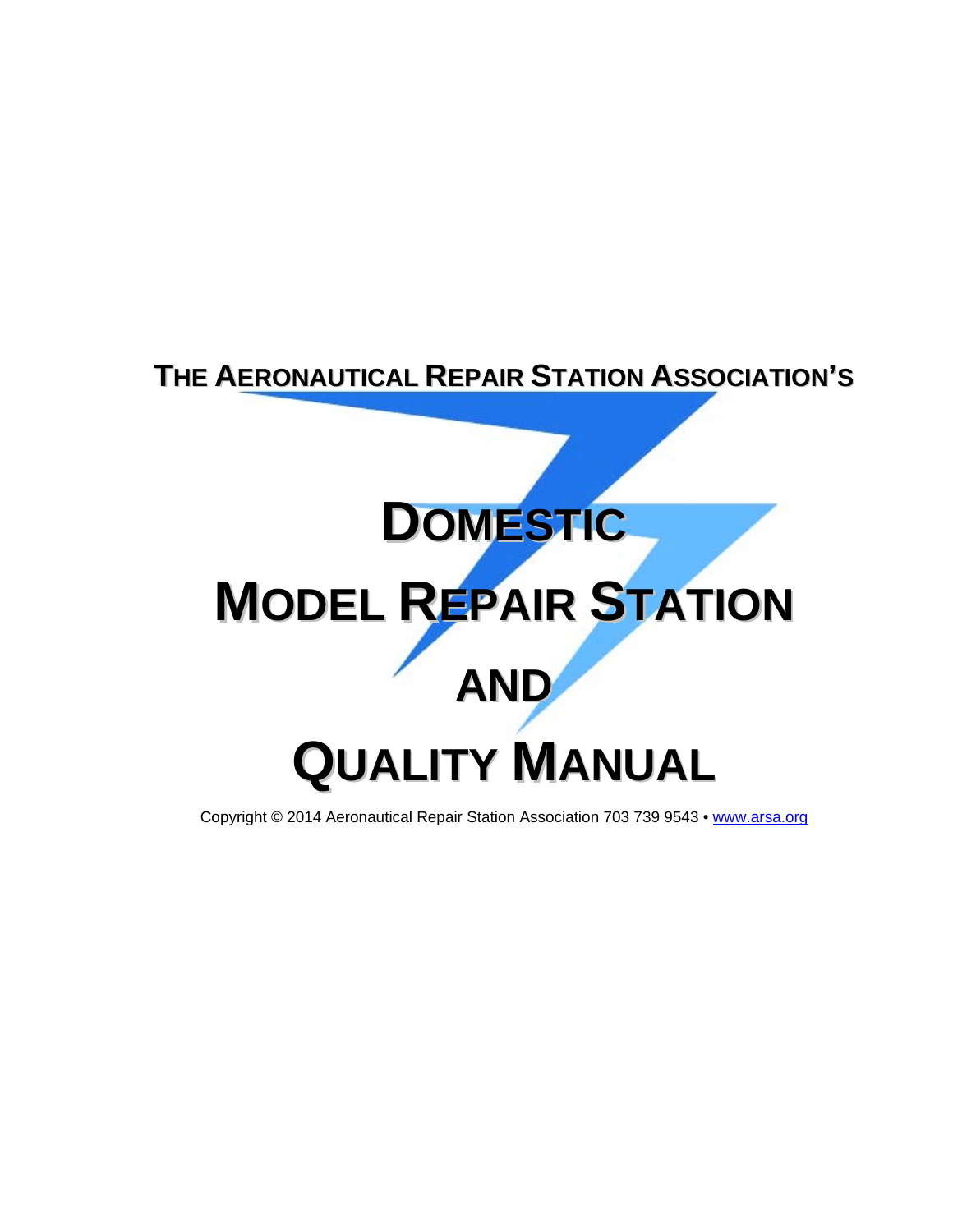## **THE AERONAUTICAL REPAIR STATION ASSOCIATION'S**

# **DOMESTIC MODEL REPAIR STATION AND QUALITY MANUAL**

Copyright © 2014 Aeronautical Repair Station Association 703 739 9543 • [www.arsa.org](http://www.arsa.org/)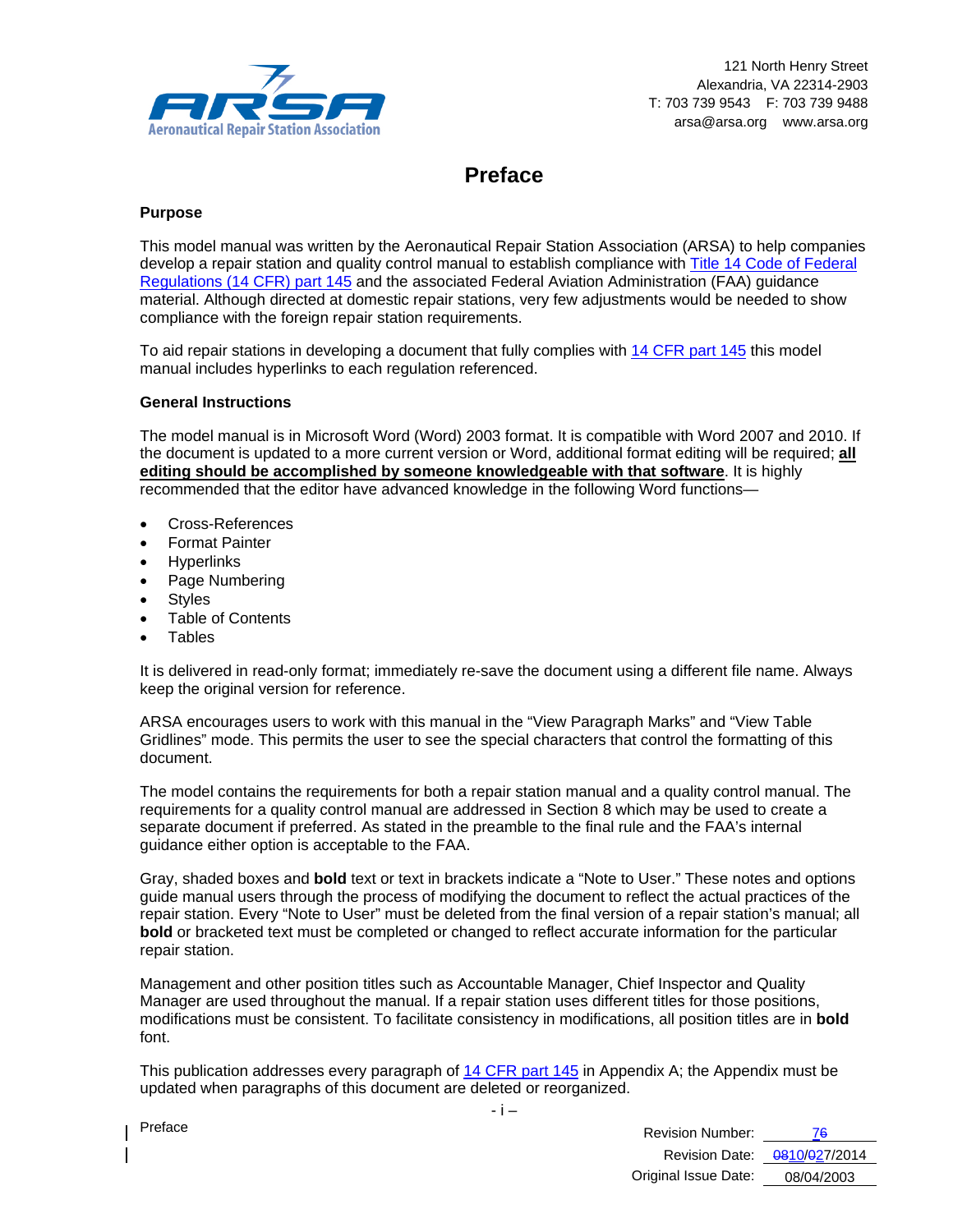

## **Preface**

#### **Purpose**

This model manual was written by the Aeronautical Repair Station Association (ARSA) to help companies develop a repair station and quality control manual to establish compliance with [Title 14 Code of Federal](http://ecfr.gpoaccess.gov/cgi/t/text/text-idx?c=ecfr&sid=705c54de4c72a998cc8f60633eddaee1&tpl=/ecfrbrowse/Title14/14cfr145_main_02.tpl)  [Regulations \(14 CFR\) part 145](http://ecfr.gpoaccess.gov/cgi/t/text/text-idx?c=ecfr&sid=705c54de4c72a998cc8f60633eddaee1&tpl=/ecfrbrowse/Title14/14cfr145_main_02.tpl) and the associated Federal Aviation Administration (FAA) guidance material. Although directed at domestic repair stations, very few adjustments would be needed to show compliance with the foreign repair station requirements.

To aid repair stations in developing a document that fully complies with [14 CFR part 145](http://ecfr.gpoaccess.gov/cgi/t/text/text-idx?c=ecfr&sid=705c54de4c72a998cc8f60633eddaee1&tpl=/ecfrbrowse/Title14/14cfr145_main_02.tpl) this model manual includes hyperlinks to each regulation referenced.

#### **General Instructions**

The model manual is in Microsoft Word (Word) 2003 format. It is compatible with Word 2007 and 2010. If the document is updated to a more current version or Word, additional format editing will be required; **all editing should be accomplished by someone knowledgeable with that software**. It is highly recommended that the editor have advanced knowledge in the following Word functions—

- Cross-References
- Format Painter
- **Hyperlinks**
- Page Numbering
- Styles
- Table of Contents
- Tables

It is delivered in read-only format; immediately re-save the document using a different file name. Always keep the original version for reference.

ARSA encourages users to work with this manual in the "View Paragraph Marks" and "View Table Gridlines" mode. This permits the user to see the special characters that control the formatting of this document.

The model contains the requirements for both a repair station manual and a quality control manual. The requirements for a quality control manual are addressed in Section 8 which may be used to create a separate document if preferred. As stated in the preamble to the final rule and the FAA's internal guidance either option is acceptable to the FAA.

Gray, shaded boxes and **bold** text or text in brackets indicate a "Note to User." These notes and options guide manual users through the process of modifying the document to reflect the actual practices of the repair station. Every "Note to User" must be deleted from the final version of a repair station's manual; all **bold** or bracketed text must be completed or changed to reflect accurate information for the particular repair station.

Management and other position titles such as Accountable Manager, Chief Inspector and Quality Manager are used throughout the manual. If a repair station uses different titles for those positions, modifications must be consistent. To facilitate consistency in modifications, all position titles are in **bold** font.

This publication addresses every paragraph of [14 CFR part 145](http://ecfr.gpoaccess.gov/cgi/t/text/text-idx?c=ecfr&sid=705c54de4c72a998cc8f60633eddaee1&tpl=/ecfrbrowse/Title14/14cfr145_main_02.tpl) in Appendix A; the Appendix must be updated when paragraphs of this document are deleted or reorganized.

- i –

| Preface<br>Revision Number: |                              |
|-----------------------------|------------------------------|
|                             | Revision Date: 0810/027/2014 |
| Original Issue Date:        | 08/04/2003                   |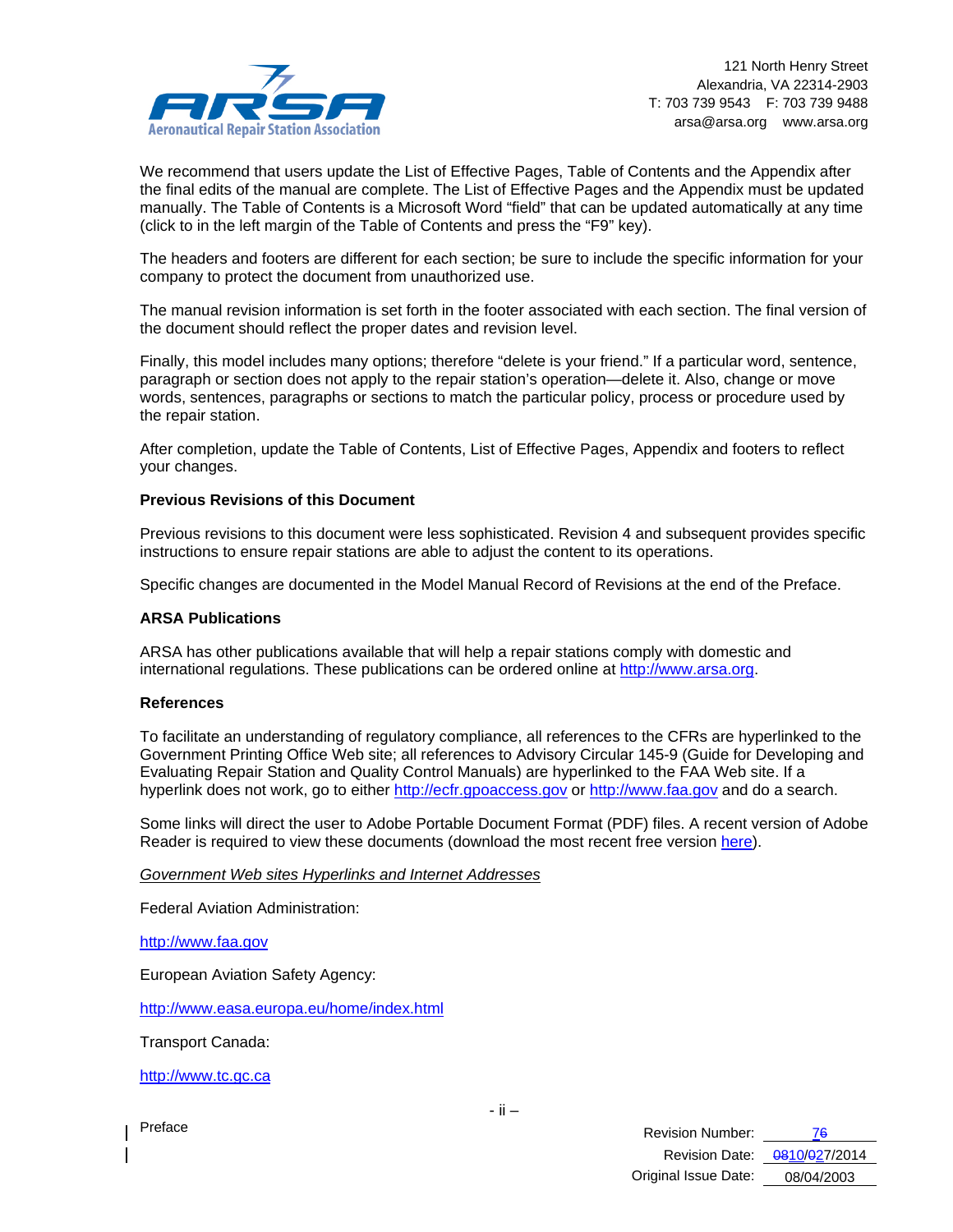

We recommend that users update the List of Effective Pages, Table of Contents and the Appendix after the final edits of the manual are complete. The List of Effective Pages and the Appendix must be updated manually. The Table of Contents is a Microsoft Word "field" that can be updated automatically at any time (click to in the left margin of the Table of Contents and press the "F9" key).

The headers and footers are different for each section; be sure to include the specific information for your company to protect the document from unauthorized use.

The manual revision information is set forth in the footer associated with each section. The final version of the document should reflect the proper dates and revision level.

Finally, this model includes many options; therefore "delete is your friend." If a particular word, sentence, paragraph or section does not apply to the repair station's operation—delete it. Also, change or move words, sentences, paragraphs or sections to match the particular policy, process or procedure used by the repair station.

After completion, update the Table of Contents, List of Effective Pages, Appendix and footers to reflect your changes.

#### **Previous Revisions of this Document**

Previous revisions to this document were less sophisticated. Revision 4 and subsequent provides specific instructions to ensure repair stations are able to adjust the content to its operations.

Specific changes are documented in the Model Manual Record of Revisions at the end of the Preface.

#### **ARSA Publications**

ARSA has other publications available that will help a repair stations comply with domestic and international regulations. These publications can be ordered online at [http://www.arsa.org.](http://www.arsa.org/)

#### **References**

To facilitate an understanding of regulatory compliance, all references to the CFRs are hyperlinked to the Government Printing Office Web site; all references to Advisory Circular 145-9 (Guide for Developing and Evaluating Repair Station and Quality Control Manuals) are hyperlinked to the FAA Web site. If a hyperlink does not work, go to either [http://ecfr.gpoaccess.gov](http://ecfr.gpoaccess.gov/) or [http://www.faa.gov](http://www.faa.gov/) and do a search.

Some links will direct the user to Adobe Portable Document Format (PDF) files. A recent version of Adobe Reader is required to view these documents (download the most recent free version [here\)](http://www.adobe.com/products/acrobat/alternate.html).

*Government Web sites Hyperlinks and Internet Addresses*

Federal Aviation Administration:

[http://www.faa.gov](http://www.faa.gov/)

European Aviation Safety Agency:

<http://www.easa.europa.eu/home/index.html>

Transport Canada:

[http://www.tc.gc.ca](http://www.tc.gc.ca/)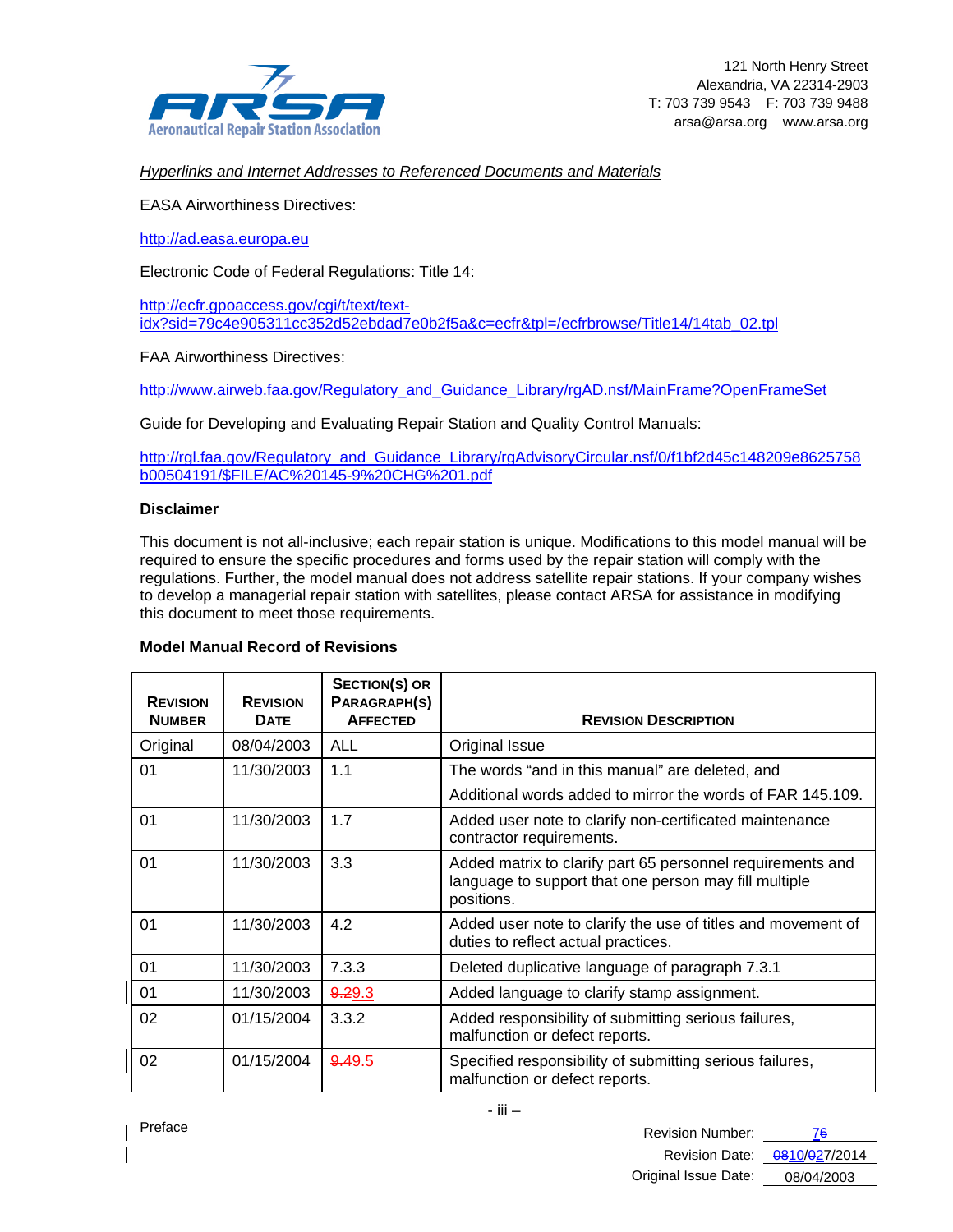

*Hyperlinks and Internet Addresses to Referenced Documents and Materials*

EASA Airworthiness Directives:

[http://ad.easa.europa.eu](http://ad.easa.europa.eu/)

Electronic Code of Federal Regulations: Title 14:

[http://ecfr.gpoaccess.gov/cgi/t/text/text](http://ecfr.gpoaccess.gov/cgi/t/text/text-idx?sid=79c4e905311cc352d52ebdad7e0b2f5a&c=ecfr&tpl=/ecfrbrowse/Title14/14tab_02.tpl)[idx?sid=79c4e905311cc352d52ebdad7e0b2f5a&c=ecfr&tpl=/ecfrbrowse/Title14/14tab\\_02.tpl](http://ecfr.gpoaccess.gov/cgi/t/text/text-idx?sid=79c4e905311cc352d52ebdad7e0b2f5a&c=ecfr&tpl=/ecfrbrowse/Title14/14tab_02.tpl)

FAA Airworthiness Directives:

[http://www.airweb.faa.gov/Regulatory\\_and\\_Guidance\\_Library/rgAD.nsf/MainFrame?OpenFrameSet](http://www.airweb.faa.gov/Regulatory_and_Guidance_Library/rgAD.nsf/MainFrame?OpenFrameSet)

Guide for Developing and Evaluating Repair Station and Quality Control Manuals:

[http://rgl.faa.gov/Regulatory\\_and\\_Guidance\\_Library/rgAdvisoryCircular.nsf/0/f1bf2d45c148209e8625758](http://rgl.faa.gov/Regulatory_and_Guidance_Library/rgAdvisoryCircular.nsf/0/f1bf2d45c148209e8625758b00504191/$FILE/AC%20145-9%20CHG%201.pdf) [b00504191/\\$FILE/AC%20145-9%20CHG%201.pdf](http://rgl.faa.gov/Regulatory_and_Guidance_Library/rgAdvisoryCircular.nsf/0/f1bf2d45c148209e8625758b00504191/$FILE/AC%20145-9%20CHG%201.pdf)

#### **Disclaimer**

This document is not all-inclusive; each repair station is unique. Modifications to this model manual will be required to ensure the specific procedures and forms used by the repair station will comply with the regulations. Further, the model manual does not address satellite repair stations. If your company wishes to develop a managerial repair station with satellites, please contact ARSA for assistance in modifying this document to meet those requirements.

#### **Model Manual Record of Revisions**

| <b>REVISION</b><br><b>NUMBER</b> | <b>REVISION</b><br><b>DATE</b> | <b>SECTION(S) OR</b><br>PARAGRAPH(S)<br><b>AFFECTED</b> | <b>REVISION DESCRIPTION</b>                                                                                                       |
|----------------------------------|--------------------------------|---------------------------------------------------------|-----------------------------------------------------------------------------------------------------------------------------------|
| Original                         | 08/04/2003                     | <b>ALL</b>                                              | Original Issue                                                                                                                    |
| 01                               | 11/30/2003                     | 1.1                                                     | The words "and in this manual" are deleted, and                                                                                   |
|                                  |                                |                                                         | Additional words added to mirror the words of FAR 145.109.                                                                        |
| 01                               | 11/30/2003                     | 1.7                                                     | Added user note to clarify non-certificated maintenance<br>contractor requirements.                                               |
| 01                               | 11/30/2003                     | 3.3                                                     | Added matrix to clarify part 65 personnel requirements and<br>language to support that one person may fill multiple<br>positions. |
| 01                               | 11/30/2003                     | 4.2                                                     | Added user note to clarify the use of titles and movement of<br>duties to reflect actual practices.                               |
| 01                               | 11/30/2003                     | 7.3.3                                                   | Deleted duplicative language of paragraph 7.3.1                                                                                   |
| 01                               | 11/30/2003                     | 9.29.3                                                  | Added language to clarify stamp assignment.                                                                                       |
| 02                               | 01/15/2004                     | 3.3.2                                                   | Added responsibility of submitting serious failures,<br>malfunction or defect reports.                                            |
| 02                               | 01/15/2004                     | 9.49.5                                                  | Specified responsibility of submitting serious failures,<br>malfunction or defect reports.                                        |

| Preface<br>Revision Number: |            |
|-----------------------------|------------|
|                             |            |
| Original Issue Date:        | 08/04/2003 |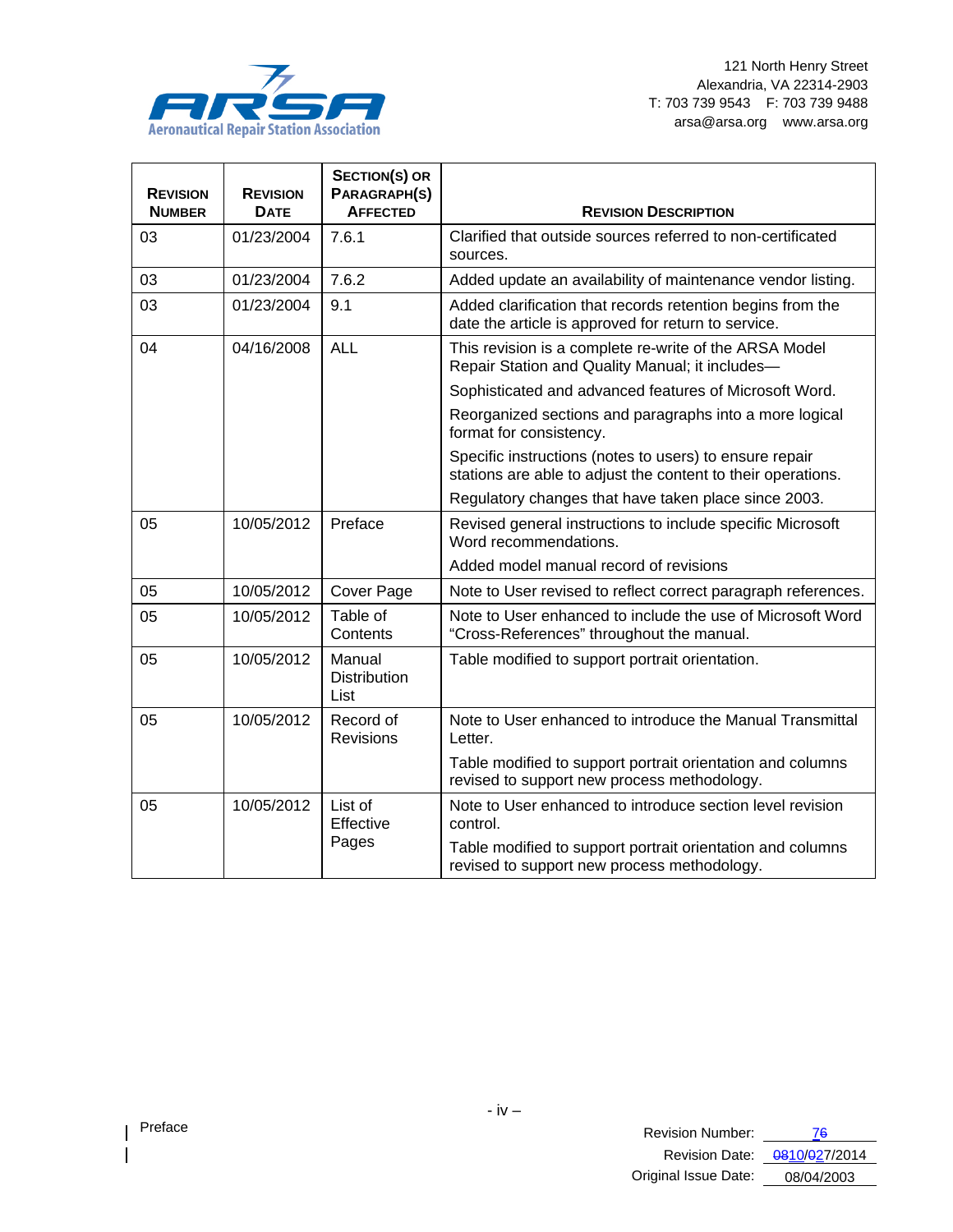

| <b>REVISION</b><br><b>NUMBER</b> | <b>REVISION</b><br><b>DATE</b> | <b>SECTION(S) OR</b><br>PARAGRAPH(S)<br><b>AFFECTED</b> | <b>REVISION DESCRIPTION</b>                                                                                             |
|----------------------------------|--------------------------------|---------------------------------------------------------|-------------------------------------------------------------------------------------------------------------------------|
| 03                               | 01/23/2004                     | 7.6.1                                                   | Clarified that outside sources referred to non-certificated<br>sources.                                                 |
| 03                               | 01/23/2004                     | 7.6.2                                                   | Added update an availability of maintenance vendor listing.                                                             |
| 03                               | 01/23/2004                     | 9.1                                                     | Added clarification that records retention begins from the<br>date the article is approved for return to service.       |
| 04                               | 04/16/2008                     | <b>ALL</b>                                              | This revision is a complete re-write of the ARSA Model<br>Repair Station and Quality Manual; it includes-               |
|                                  |                                |                                                         | Sophisticated and advanced features of Microsoft Word.                                                                  |
|                                  |                                |                                                         | Reorganized sections and paragraphs into a more logical<br>format for consistency.                                      |
|                                  |                                |                                                         | Specific instructions (notes to users) to ensure repair<br>stations are able to adjust the content to their operations. |
|                                  |                                |                                                         | Regulatory changes that have taken place since 2003.                                                                    |
| 05                               | 10/05/2012                     | Preface                                                 | Revised general instructions to include specific Microsoft<br>Word recommendations.                                     |
|                                  |                                |                                                         | Added model manual record of revisions                                                                                  |
| 05                               | 10/05/2012                     | Cover Page                                              | Note to User revised to reflect correct paragraph references.                                                           |
| 05                               | 10/05/2012                     | Table of<br>Contents                                    | Note to User enhanced to include the use of Microsoft Word<br>"Cross-References" throughout the manual.                 |
| 05                               | 10/05/2012                     | Manual<br><b>Distribution</b><br>List                   | Table modified to support portrait orientation.                                                                         |
| 05                               | 10/05/2012                     | Record of<br><b>Revisions</b>                           | Note to User enhanced to introduce the Manual Transmittal<br>Letter.                                                    |
|                                  |                                |                                                         | Table modified to support portrait orientation and columns<br>revised to support new process methodology.               |
| 05                               | 10/05/2012                     | List of<br>Effective                                    | Note to User enhanced to introduce section level revision<br>control.                                                   |
|                                  |                                | Pages                                                   | Table modified to support portrait orientation and columns<br>revised to support new process methodology.               |

 $\overline{\phantom{a}}$  $\overline{\phantom{a}}$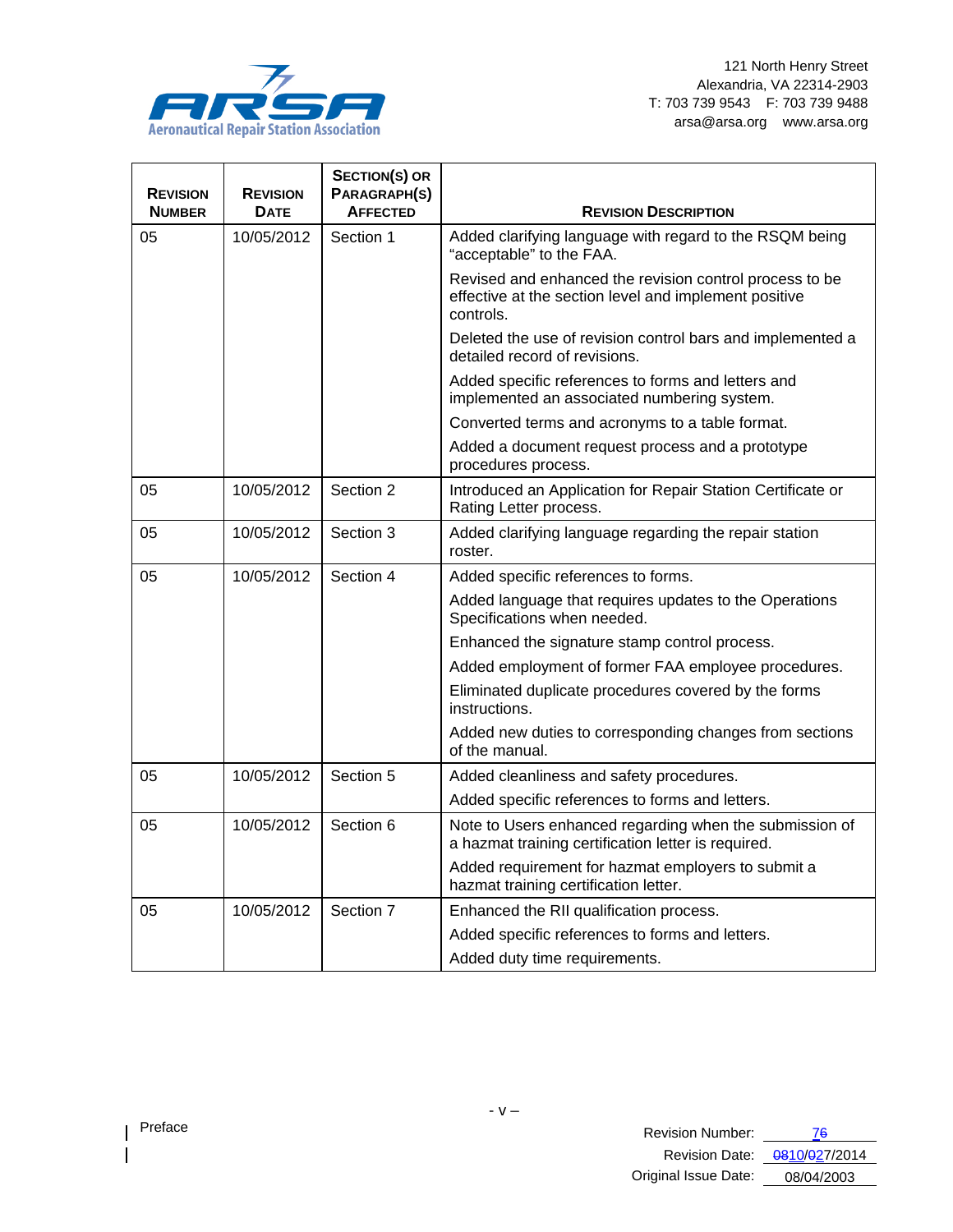

| <b>REVISION</b> | <b>REVISION</b> | <b>SECTION(S) OR</b><br>PARAGRAPH(S) |                                                                                                                               |
|-----------------|-----------------|--------------------------------------|-------------------------------------------------------------------------------------------------------------------------------|
| <b>NUMBER</b>   | <b>DATE</b>     | <b>AFFECTED</b>                      | <b>REVISION DESCRIPTION</b>                                                                                                   |
| 05              | 10/05/2012      | Section 1                            | Added clarifying language with regard to the RSQM being<br>"acceptable" to the FAA.                                           |
|                 |                 |                                      | Revised and enhanced the revision control process to be<br>effective at the section level and implement positive<br>controls. |
|                 |                 |                                      | Deleted the use of revision control bars and implemented a<br>detailed record of revisions.                                   |
|                 |                 |                                      | Added specific references to forms and letters and<br>implemented an associated numbering system.                             |
|                 |                 |                                      | Converted terms and acronyms to a table format.                                                                               |
|                 |                 |                                      | Added a document request process and a prototype<br>procedures process.                                                       |
| 05              | 10/05/2012      | Section 2                            | Introduced an Application for Repair Station Certificate or<br>Rating Letter process.                                         |
| 05              | 10/05/2012      | Section 3                            | Added clarifying language regarding the repair station<br>roster.                                                             |
| 05              | 10/05/2012      | Section 4                            | Added specific references to forms.                                                                                           |
|                 |                 |                                      | Added language that requires updates to the Operations<br>Specifications when needed.                                         |
|                 |                 |                                      | Enhanced the signature stamp control process.                                                                                 |
|                 |                 |                                      | Added employment of former FAA employee procedures.                                                                           |
|                 |                 |                                      | Eliminated duplicate procedures covered by the forms<br>instructions.                                                         |
|                 |                 |                                      | Added new duties to corresponding changes from sections<br>of the manual.                                                     |
| 05              | 10/05/2012      | Section 5                            | Added cleanliness and safety procedures.                                                                                      |
|                 |                 |                                      | Added specific references to forms and letters.                                                                               |
| 05              | 10/05/2012      | Section 6                            | Note to Users enhanced regarding when the submission of<br>a hazmat training certification letter is required.                |
|                 |                 |                                      | Added requirement for hazmat employers to submit a<br>hazmat training certification letter.                                   |
| 05              | 10/05/2012      | Section 7                            | Enhanced the RII qualification process.                                                                                       |
|                 |                 |                                      | Added specific references to forms and letters.                                                                               |
|                 |                 |                                      | Added duty time requirements.                                                                                                 |

 $\overline{\phantom{a}}$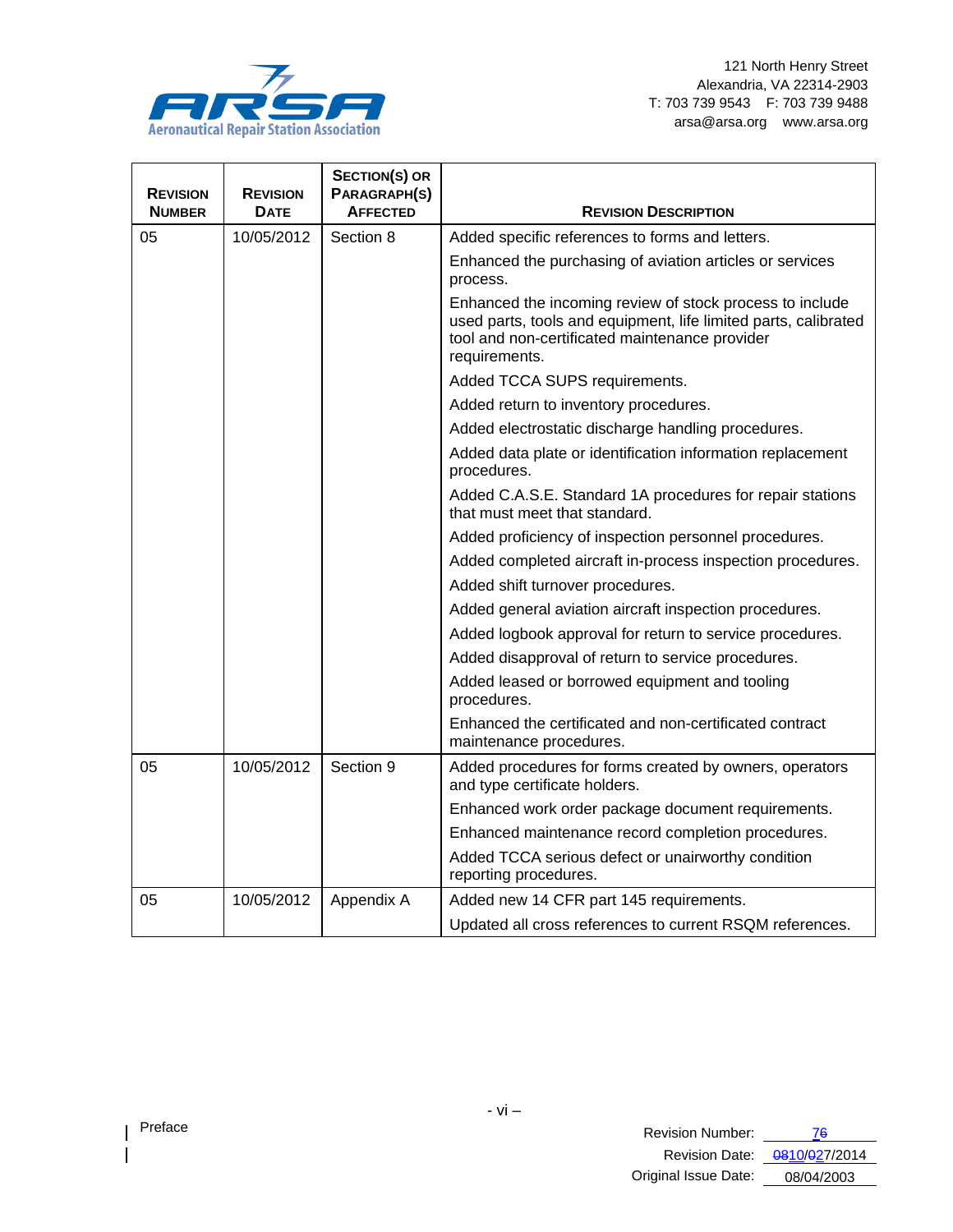

| <b>REVISION</b><br><b>NUMBER</b> | <b>REVISION</b><br><b>DATE</b> | <b>SECTION(S) OR</b><br>PARAGRAPH(S)<br><b>AFFECTED</b> | <b>REVISION DESCRIPTION</b>                                                                                                                                                                    |
|----------------------------------|--------------------------------|---------------------------------------------------------|------------------------------------------------------------------------------------------------------------------------------------------------------------------------------------------------|
| 05                               | 10/05/2012                     | Section 8                                               | Added specific references to forms and letters.                                                                                                                                                |
|                                  |                                |                                                         | Enhanced the purchasing of aviation articles or services<br>process.                                                                                                                           |
|                                  |                                |                                                         | Enhanced the incoming review of stock process to include<br>used parts, tools and equipment, life limited parts, calibrated<br>tool and non-certificated maintenance provider<br>requirements. |
|                                  |                                |                                                         | Added TCCA SUPS requirements.                                                                                                                                                                  |
|                                  |                                |                                                         | Added return to inventory procedures.                                                                                                                                                          |
|                                  |                                |                                                         | Added electrostatic discharge handling procedures.                                                                                                                                             |
|                                  |                                |                                                         | Added data plate or identification information replacement<br>procedures.                                                                                                                      |
|                                  |                                |                                                         | Added C.A.S.E. Standard 1A procedures for repair stations<br>that must meet that standard.                                                                                                     |
|                                  |                                |                                                         | Added proficiency of inspection personnel procedures.                                                                                                                                          |
|                                  |                                |                                                         | Added completed aircraft in-process inspection procedures.                                                                                                                                     |
|                                  |                                |                                                         | Added shift turnover procedures.                                                                                                                                                               |
|                                  |                                |                                                         | Added general aviation aircraft inspection procedures.                                                                                                                                         |
|                                  |                                |                                                         | Added logbook approval for return to service procedures.                                                                                                                                       |
|                                  |                                |                                                         | Added disapproval of return to service procedures.                                                                                                                                             |
|                                  |                                |                                                         | Added leased or borrowed equipment and tooling<br>procedures.                                                                                                                                  |
|                                  |                                |                                                         | Enhanced the certificated and non-certificated contract<br>maintenance procedures.                                                                                                             |
| 05                               | 10/05/2012                     | Section 9                                               | Added procedures for forms created by owners, operators<br>and type certificate holders.                                                                                                       |
|                                  |                                |                                                         | Enhanced work order package document requirements.                                                                                                                                             |
|                                  |                                |                                                         | Enhanced maintenance record completion procedures.                                                                                                                                             |
|                                  |                                |                                                         | Added TCCA serious defect or unairworthy condition<br>reporting procedures.                                                                                                                    |
| 05                               | 10/05/2012                     | Appendix A                                              | Added new 14 CFR part 145 requirements.                                                                                                                                                        |
|                                  |                                |                                                         | Updated all cross references to current RSQM references.                                                                                                                                       |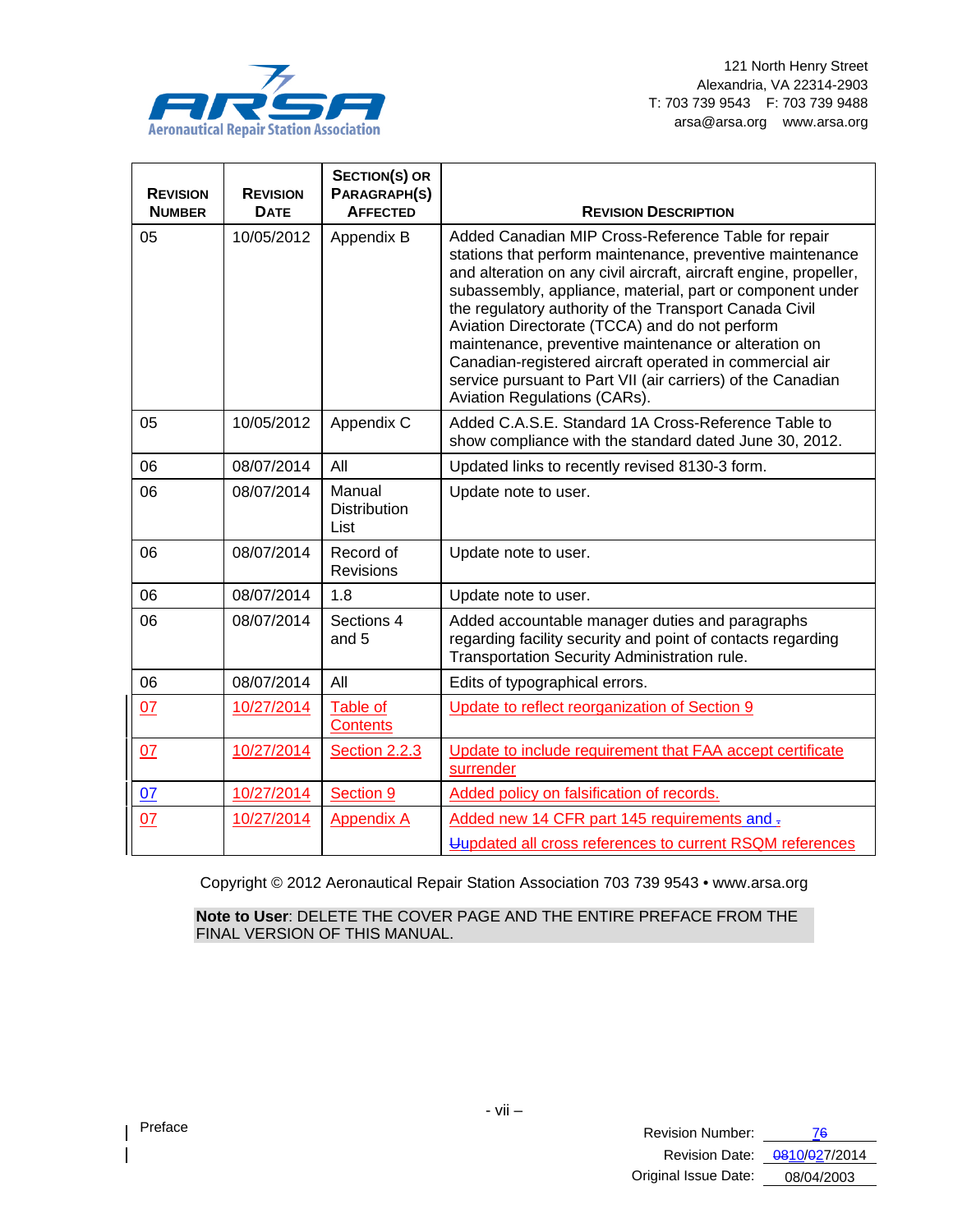

| <b>REVISION</b><br><b>NUMBER</b> | <b>REVISION</b><br><b>DATE</b> | <b>SECTION(S) OR</b><br>PARAGRAPH(S)<br><b>AFFECTED</b> | <b>REVISION DESCRIPTION</b>                                                                                                                                                                                                                                                                                                                                                                                                                                                                                                                                                      |
|----------------------------------|--------------------------------|---------------------------------------------------------|----------------------------------------------------------------------------------------------------------------------------------------------------------------------------------------------------------------------------------------------------------------------------------------------------------------------------------------------------------------------------------------------------------------------------------------------------------------------------------------------------------------------------------------------------------------------------------|
| 05                               | 10/05/2012                     | Appendix B                                              | Added Canadian MIP Cross-Reference Table for repair<br>stations that perform maintenance, preventive maintenance<br>and alteration on any civil aircraft, aircraft engine, propeller,<br>subassembly, appliance, material, part or component under<br>the regulatory authority of the Transport Canada Civil<br>Aviation Directorate (TCCA) and do not perform<br>maintenance, preventive maintenance or alteration on<br>Canadian-registered aircraft operated in commercial air<br>service pursuant to Part VII (air carriers) of the Canadian<br>Aviation Regulations (CARs). |
| 05                               | 10/05/2012                     | Appendix C                                              | Added C.A.S.E. Standard 1A Cross-Reference Table to<br>show compliance with the standard dated June 30, 2012.                                                                                                                                                                                                                                                                                                                                                                                                                                                                    |
| 06                               | 08/07/2014                     | All                                                     | Updated links to recently revised 8130-3 form.                                                                                                                                                                                                                                                                                                                                                                                                                                                                                                                                   |
| 06                               | 08/07/2014                     | Manual<br><b>Distribution</b><br>List                   | Update note to user.                                                                                                                                                                                                                                                                                                                                                                                                                                                                                                                                                             |
| 06                               | 08/07/2014                     | Record of<br><b>Revisions</b>                           | Update note to user.                                                                                                                                                                                                                                                                                                                                                                                                                                                                                                                                                             |
| 06                               | 08/07/2014                     | 1.8                                                     | Update note to user.                                                                                                                                                                                                                                                                                                                                                                                                                                                                                                                                                             |
| 06                               | 08/07/2014                     | Sections 4<br>and 5                                     | Added accountable manager duties and paragraphs<br>regarding facility security and point of contacts regarding<br>Transportation Security Administration rule.                                                                                                                                                                                                                                                                                                                                                                                                                   |
| 06                               | 08/07/2014                     | All                                                     | Edits of typographical errors.                                                                                                                                                                                                                                                                                                                                                                                                                                                                                                                                                   |
| 07                               | 10/27/2014                     | Table of<br><b>Contents</b>                             | Update to reflect reorganization of Section 9                                                                                                                                                                                                                                                                                                                                                                                                                                                                                                                                    |
| 07                               | 10/27/2014                     | Section 2.2.3                                           | Update to include requirement that FAA accept certificate<br>surrender                                                                                                                                                                                                                                                                                                                                                                                                                                                                                                           |
| 07                               | 10/27/2014                     | Section 9                                               | Added policy on falsification of records.                                                                                                                                                                                                                                                                                                                                                                                                                                                                                                                                        |
| 07                               | 10/27/2014                     | <b>Appendix A</b>                                       | Added new 14 CFR part 145 requirements and =<br>Uupdated all cross references to current RSQM references                                                                                                                                                                                                                                                                                                                                                                                                                                                                         |

Copyright © 2012 Aeronautical Repair Station Association 703 739 9543 • www.arsa.org

**Note to User**: DELETE THE COVER PAGE AND THE ENTIRE PREFACE FROM THE FINAL VERSION OF THIS MANUAL.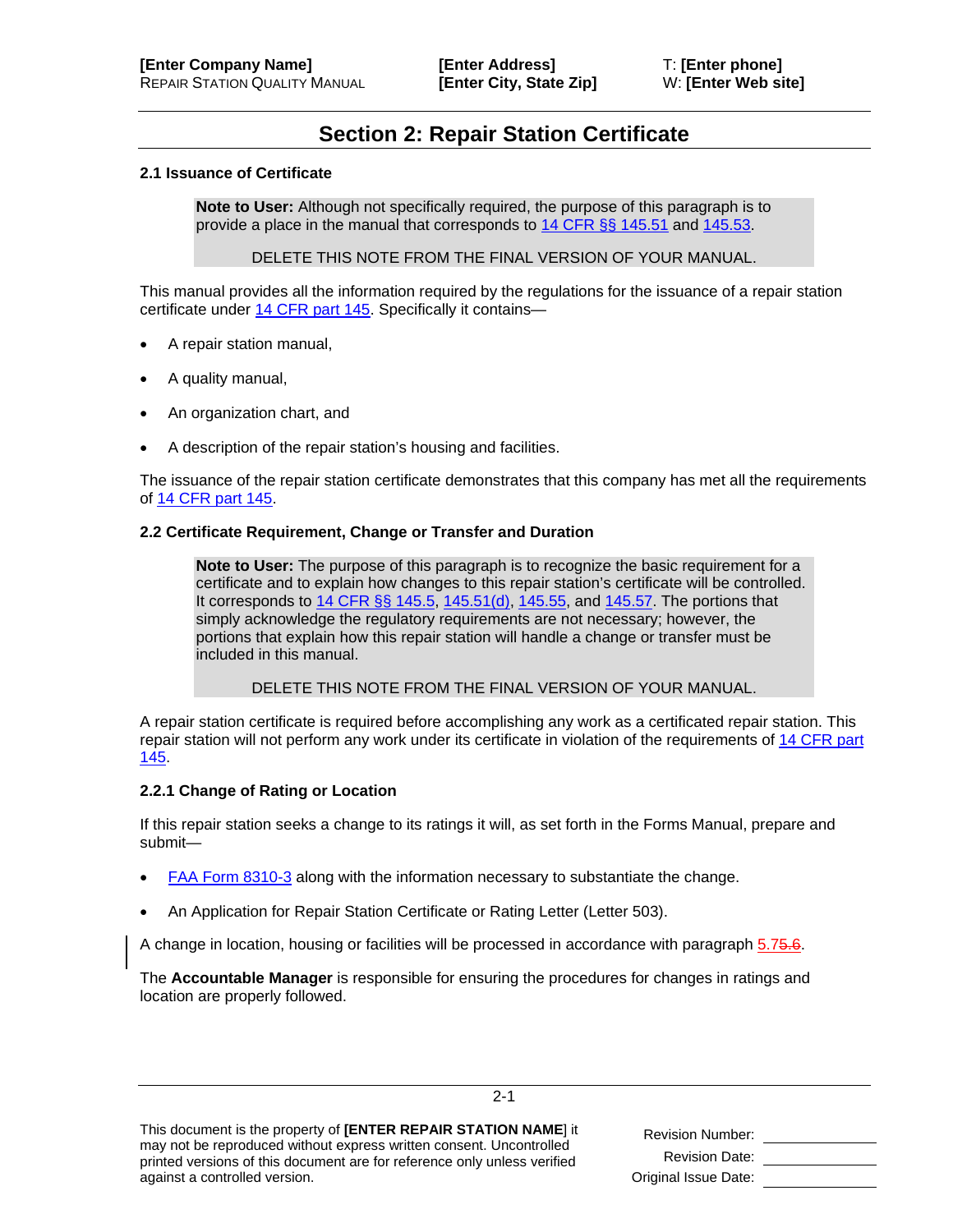## **Section 2: Repair Station Certificate**

#### <span id="page-8-1"></span>**2.1 Issuance of Certificate**

**Note to User:** Although not specifically required, the purpose of this paragraph is to provide a place in the manual that corresponds to [14 CFR §§ 145.51](http://ecfr.gpoaccess.gov/cgi/t/text/text-idx?c=ecfr&sid=d06cdedab945a1455160493f90acd03a&rgn=div8&view=text&node=14:3.0.1.2.19.4.3.1&idno=14) and [145.53.](http://ecfr.gpoaccess.gov/cgi/t/text/text-idx?c=ecfr&sid=d06cdedab945a1455160493f90acd03a&rgn=div8&view=text&node=14:3.0.1.2.19.4.3.2&idno=14)

DELETE THIS NOTE FROM THE FINAL VERSION OF YOUR MANUAL.

This manual provides all the information required by the regulations for the issuance of a repair station certificate under [14 CFR part 145.](http://ecfr.gpoaccess.gov/cgi/t/text/text-idx?c=ecfr&sid=62811a040c754fc1f9f003cb1e3c24bd&rgn=div5&view=text&node=14:3.0.1.1.5&idno=14) Specifically it contains—

- A repair station manual,
- A quality manual,
- An organization chart, and
- A description of the repair station's housing and facilities.

The issuance of the repair station certificate demonstrates that this company has met all the requirements of [14 CFR part 145.](http://ecfr.gpoaccess.gov/cgi/t/text/text-idx?c=ecfr&sid=705c54de4c72a998cc8f60633eddaee1&tpl=/ecfrbrowse/Title14/14cfr145_main_02.tpl)

#### <span id="page-8-0"></span>**2.2 Certificate Requirement, Change or Transfer and Duration**

**Note to User:** The purpose of this paragraph is to recognize the basic requirement for a certificate and to explain how changes to this repair station's certificate will be controlled. It corresponds to  $14$  CFR  $\S$ § 145.5, [145.51\(d\),](http://ecfr.gpoaccess.gov/cgi/t/text/text-idx?c=ecfr&sid=d06cdedab945a1455160493f90acd03a&rgn=div8&view=text&node=14:3.0.1.2.19.2.3.1&idno=14) [145.55,](http://ecfr.gpoaccess.gov/cgi/t/text/text-idx?c=ecfr&sid=d06cdedab945a1455160493f90acd03a&rgn=div8&view=text&node=14:3.0.1.2.19.2.3.3&idno=14) and [145.57.](http://ecfr.gpoaccess.gov/cgi/t/text/text-idx?c=ecfr&sid=d06cdedab945a1455160493f90acd03a&rgn=div8&view=text&node=14:3.0.1.2.19.2.3.4&idno=14) The portions that simply acknowledge the regulatory requirements are not necessary; however, the portions that explain how this repair station will handle a change or transfer must be included in this manual.

DELETE THIS NOTE FROM THE FINAL VERSION OF YOUR MANUAL.

A repair station certificate is required before accomplishing any work as a certificated repair station. This repair station will not perform any work under its certificate in violation of the requirements o[f 14 CFR part](http://ecfr.gpoaccess.gov/cgi/t/text/text-idx?c=ecfr&sid=705c54de4c72a998cc8f60633eddaee1&tpl=/ecfrbrowse/Title14/14cfr145_main_02.tpl)  [145.](http://ecfr.gpoaccess.gov/cgi/t/text/text-idx?c=ecfr&sid=705c54de4c72a998cc8f60633eddaee1&tpl=/ecfrbrowse/Title14/14cfr145_main_02.tpl)

#### <span id="page-8-2"></span>**2.2.1 Change of Rating or Location**

If this repair station seeks a change to its ratings it will, as set forth in the Forms Manual, prepare and submit—

- [FAA Form 8310-3](http://www.faa.gov/documentLibrary/media/Form/FAA%208310-3.pdf) along with the information necessary to substantiate the change.
- An Application for Repair Station Certificate or Rating Letter (Letter 503).

A change in location, housing or facilities will be processed in accordance with paragraph [5.75.6.](#page--1-0)

The **Accountable Manager** is responsible for ensuring the procedures for changes in ratings and location are properly followed.

2-1

| This document is the property of [ENTER REPAIR STATION NAME] it          |
|--------------------------------------------------------------------------|
| may not be reproduced without express written consent. Uncontrolled      |
| printed versions of this document are for reference only unless verified |
| against a controlled version.                                            |

| <b>Revision Number:</b> |  |
|-------------------------|--|
| <b>Revision Date:</b>   |  |
| Original Issue Date:    |  |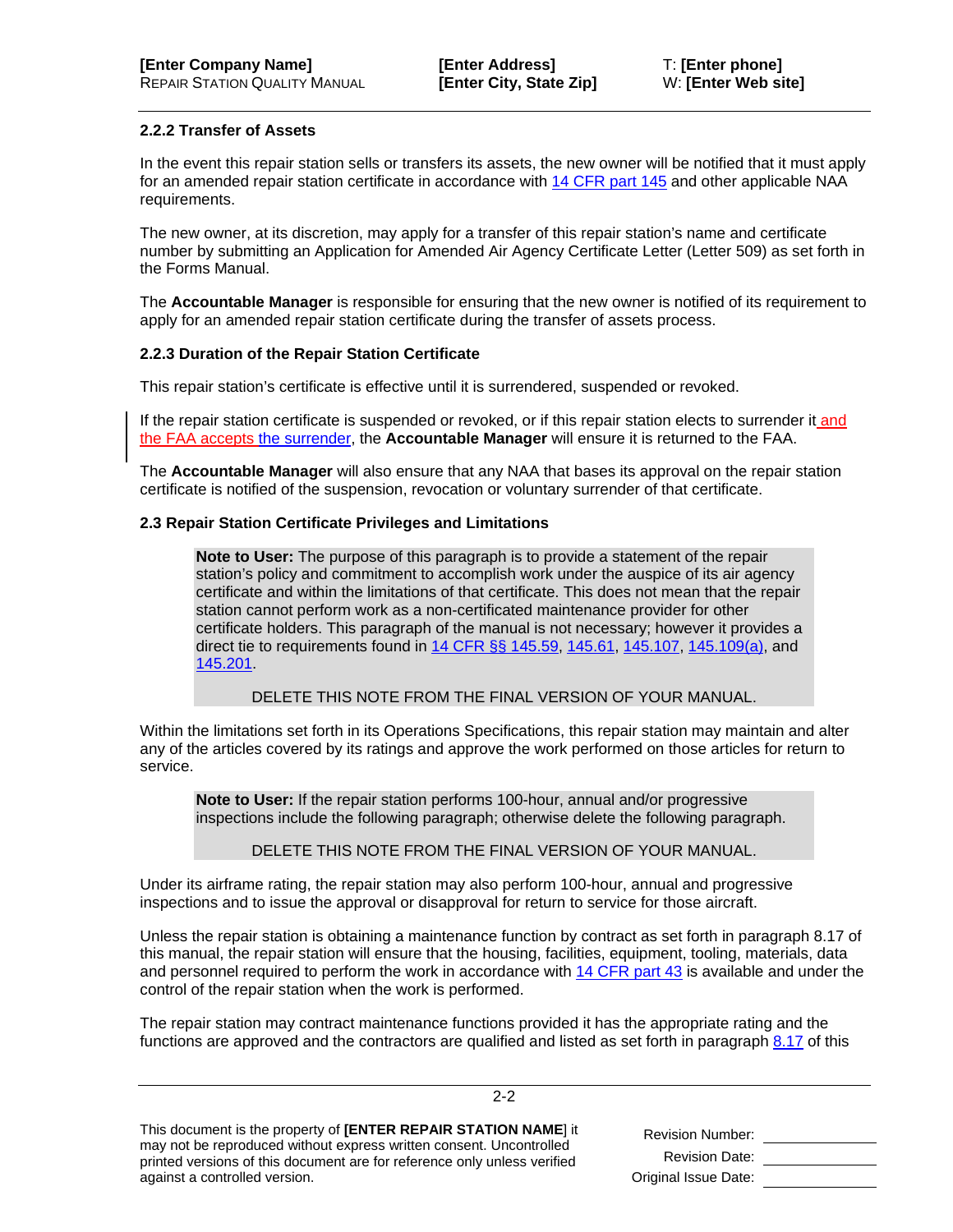#### <span id="page-9-1"></span>**2.2.2 Transfer of Assets**

In the event this repair station sells or transfers its assets, the new owner will be notified that it must apply for an amended repair station certificate in accordance with [14 CFR part 145](http://ecfr.gpoaccess.gov/cgi/t/text/text-idx?c=ecfr&sid=705c54de4c72a998cc8f60633eddaee1&tpl=/ecfrbrowse/Title14/14cfr145_main_02.tpl) and other applicable NAA requirements.

The new owner, at its discretion, may apply for a transfer of this repair station's name and certificate number by submitting an Application for Amended Air Agency Certificate Letter (Letter 509) as set forth in the Forms Manual.

The **Accountable Manager** is responsible for ensuring that the new owner is notified of its requirement to apply for an amended repair station certificate during the transfer of assets process.

#### <span id="page-9-0"></span>**2.2.3 Duration of the Repair Station Certificate**

This repair station's certificate is effective until it is surrendered, suspended or revoked.

If the repair station certificate is suspended or revoked, or if this repair station elects to surrender it and the FAA accepts the surrender, the **Accountable Manager** will ensure it is returned to the FAA.

The **Accountable Manager** will also ensure that any NAA that bases its approval on the repair station certificate is notified of the suspension, revocation or voluntary surrender of that certificate.

#### <span id="page-9-2"></span>**2.3 Repair Station Certificate Privileges and Limitations**

**Note to User:** The purpose of this paragraph is to provide a statement of the repair station's policy and commitment to accomplish work under the auspice of its air agency certificate and within the limitations of that certificate. This does not mean that the repair station cannot perform work as a non-certificated maintenance provider for other certificate holders. This paragraph of the manual is not necessary; however it provides a direct tie to requirements found in [14 CFR §§ 145.59,](http://ecfr.gpoaccess.gov/cgi/t/text/text-idx?c=ecfr&sid=f6b916d1eb065ecbd50fbeda433478e6&rgn=div8&view=text&node=14:3.0.1.2.19.2.3.5&idno=14) [145.61,](http://ecfr.gpoaccess.gov/cgi/t/text/text-idx?c=ecfr&sid=f6b916d1eb065ecbd50fbeda433478e6&rgn=div8&view=text&node=14:3.0.1.2.19.2.3.6&idno=14) [145.107,](http://ecfr.gpoaccess.gov/cgi/t/text/text-idx?c=ecfr&sid=f6b916d1eb065ecbd50fbeda433478e6&rgn=div8&view=text&node=14:3.0.1.2.19.3.3.4&idno=14) [145.109\(a\),](http://ecfr.gpoaccess.gov/cgi/t/text/text-idx?c=ecfr&sid=f6b916d1eb065ecbd50fbeda433478e6&rgn=div8&view=text&node=14:3.0.1.2.19.3.3.5&idno=14) and [145.201.](http://ecfr.gpoaccess.gov/cgi/t/text/text-idx?c=ecfr&sid=f6b916d1eb065ecbd50fbeda433478e6&rgn=div8&view=text&node=14:3.0.1.2.19.5.3.1&idno=14)

DELETE THIS NOTE FROM THE FINAL VERSION OF YOUR MANUAL.

Within the limitations set forth in its Operations Specifications, this repair station may maintain and alter any of the articles covered by its ratings and approve the work performed on those articles for return to service.

**Note to User:** If the repair station performs 100-hour, annual and/or progressive inspections include the following paragraph; otherwise delete the following paragraph.

DELETE THIS NOTE FROM THE FINAL VERSION OF YOUR MANUAL.

Under its airframe rating, the repair station may also perform 100-hour, annual and progressive inspections and to issue the approval or disapproval for return to service for those aircraft.

Unless the repair station is obtaining a maintenance function by contract as set forth in paragraph [8.17](#page--1-1) of this manual, the repair station will ensure that the housing, facilities, equipment, tooling, materials, data and personnel required to perform the work in accordance with [14 CFR part 43](http://ecfr.gpoaccess.gov/cgi/t/text/text-idx?c=ecfr&sid=c9d3d7b821124be9ee167a3ec92c06c1&tpl=/ecfrbrowse/Title14/14cfr43_main_02.tpl) is available and under the control of the repair station when the work is performed.

The repair station may contract maintenance functions provided it has the appropriate rating and the functions are approved and the contractors are qualified and listed as set forth in paragraph [8.17](#page--1-1) of this

2-2

| This document is the property of <b>[ENTER REPAIR STATION NAME</b> ] it  |
|--------------------------------------------------------------------------|
| may not be reproduced without express written consent. Uncontrolled      |
| printed versions of this document are for reference only unless verified |
| against a controlled version.                                            |

| <b>Revision Number:</b> |  |
|-------------------------|--|
| <b>Revision Date:</b>   |  |
| Original Issue Date:    |  |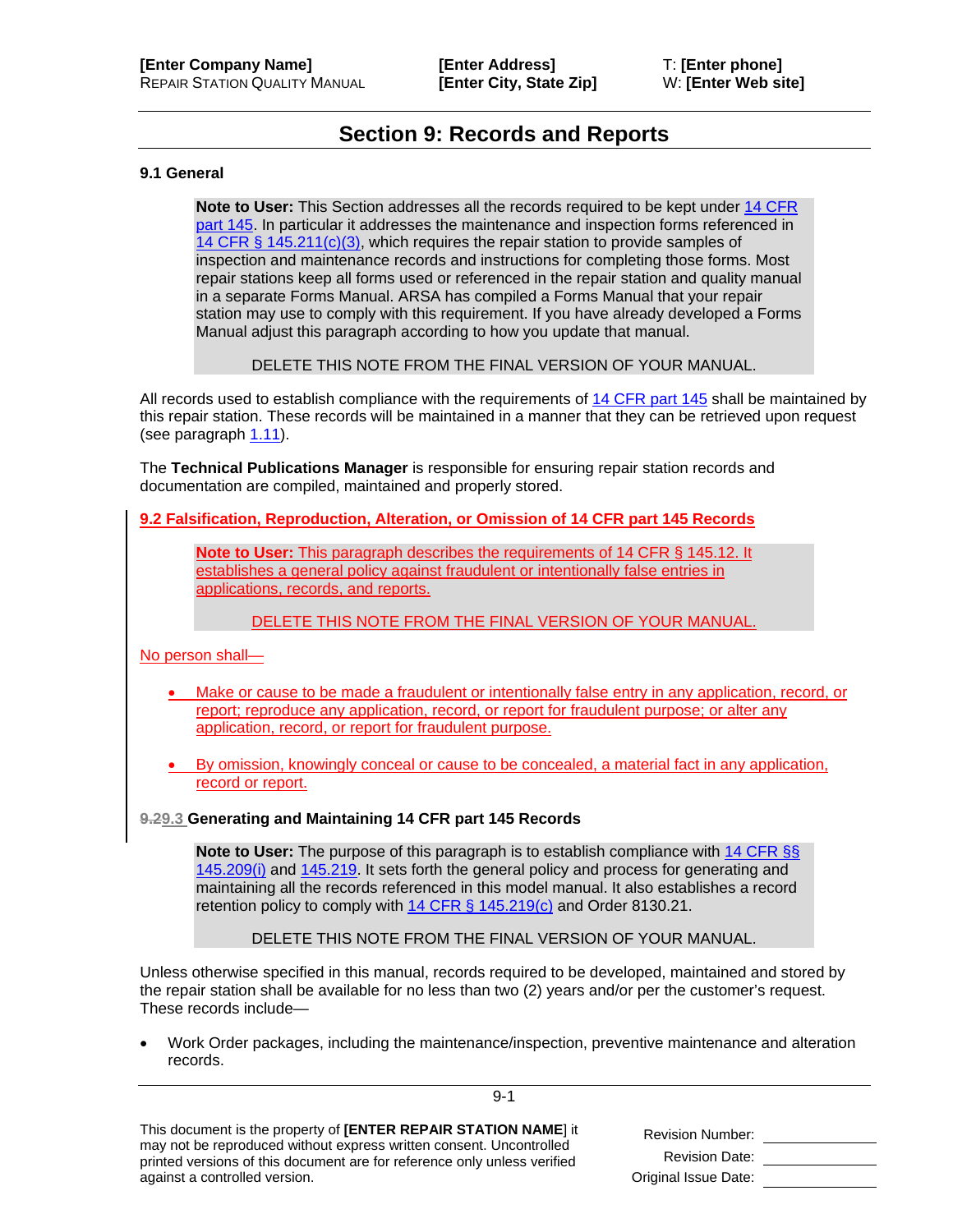## **Section 9: Records and Reports**

#### <span id="page-10-2"></span><span id="page-10-1"></span>**9.1 General**

**Note to User:** This Section addresses all the records required to be kept under [14 CFR](http://ecfr.gpoaccess.gov/cgi/t/text/text-idx?c=ecfr&sid=f32c93ab89449592e2f45d4510a3e2e0&tpl=/ecfrbrowse/Title14/14cfr145_main_02.tpl)  [part 145.](http://ecfr.gpoaccess.gov/cgi/t/text/text-idx?c=ecfr&sid=f32c93ab89449592e2f45d4510a3e2e0&tpl=/ecfrbrowse/Title14/14cfr145_main_02.tpl) In particular it addresses the maintenance and inspection forms referenced in 14 CFR [§ 145.211\(c\)\(3\),](http://ecfr.gpoaccess.gov/cgi/t/text/text-idx?c=ecfr&sid=f32c93ab89449592e2f45d4510a3e2e0&rgn=div8&view=text&node=14:3.0.1.2.19.5.3.7&idno=14) which requires the repair station to provide samples of inspection and maintenance records and instructions for completing those forms. Most repair stations keep all forms used or referenced in the repair station and quality manual in a separate Forms Manual. ARSA has compiled a Forms Manual that your repair station may use to comply with this requirement. If you have already developed a Forms Manual adjust this paragraph according to how you update that manual.

DELETE THIS NOTE FROM THE FINAL VERSION OF YOUR MANUAL.

All records used to establish compliance with the requirements o[f 14 CFR part 145](http://ecfr.gpoaccess.gov/cgi/t/text/text-idx?c=ecfr&sid=f32c93ab89449592e2f45d4510a3e2e0&tpl=/ecfrbrowse/Title14/14cfr145_main_02.tpl) shall be maintained by this repair station. These records will be maintained in a manner that they can be retrieved upon request (see paragraph [1.11\)](#page--1-2).

The **Technical Publications Manager** is responsible for ensuring repair station records and documentation are compiled, maintained and properly stored.

<span id="page-10-0"></span>**9.2 Falsification, Reproduction, Alteration, or Omission of 14 CFR part 145 Records**

**Note to User:** This paragraph describes the requirements of [14 CFR § 145.12.](http://www.ecfr.gov/cgi-bin/text-idx?SID=83ac7ee5bbb28ed8da3227fc3ad88b73&node=se14.3.145_112&rgn=div8) It establishes a general policy against fraudulent or intentionally false entries in applications, records, and reports.

#### DELETE THIS NOTE FROM THE FINAL VERSION OF YOUR MANUAL.

No person shall—

- Make or cause to be made a fraudulent or intentionally false entry in any application, record, or report; reproduce any application, record, or report for fraudulent purpose; or alter any application, record, or report for fraudulent purpose.
- By omission, knowingly conceal or cause to be concealed, a material fact in any application, record or report.

#### **9.29.3 Generating and Maintaining 14 CFR part 145 Records**

**Note to User:** The purpose of this paragraph is to establish compliance with [14 CFR §§](http://ecfr.gpoaccess.gov/cgi/t/text/text-idx?c=ecfr&sid=f32c93ab89449592e2f45d4510a3e2e0&rgn=div8&view=text&node=14:3.0.1.2.19.5.3.6&idno=14)  [145.209\(i\)](http://ecfr.gpoaccess.gov/cgi/t/text/text-idx?c=ecfr&sid=f32c93ab89449592e2f45d4510a3e2e0&rgn=div8&view=text&node=14:3.0.1.2.19.5.3.6&idno=14) and [145.219.](http://ecfr.gpoaccess.gov/cgi/t/text/text-idx?c=ecfr&sid=f32c93ab89449592e2f45d4510a3e2e0&rgn=div8&view=text&node=14:3.0.1.2.19.5.3.11&idno=14) It sets forth the general policy and process for generating and maintaining all the records referenced in this model manual. It also establishes a record retention policy to comply with  $14$  CFR § 145.219(c) and Order 8130.21.

DELETE THIS NOTE FROM THE FINAL VERSION OF YOUR MANUAL.

Unless otherwise specified in this manual, records required to be developed, maintained and stored by the repair station shall be available for no less than two (2) years and/or per the customer's request. These records include—

• Work Order packages, including the maintenance/inspection, preventive maintenance and alteration records.

9-1

This document is the property of **[ENTER REPAIR STATION NAME**] it may not be reproduced without express written consent. Uncontrolled printed versions of this document are for reference only unless verified against a controlled version.

| <b>Revision Number:</b> |  |
|-------------------------|--|
| <b>Revision Date:</b>   |  |
| Original Issue Date:    |  |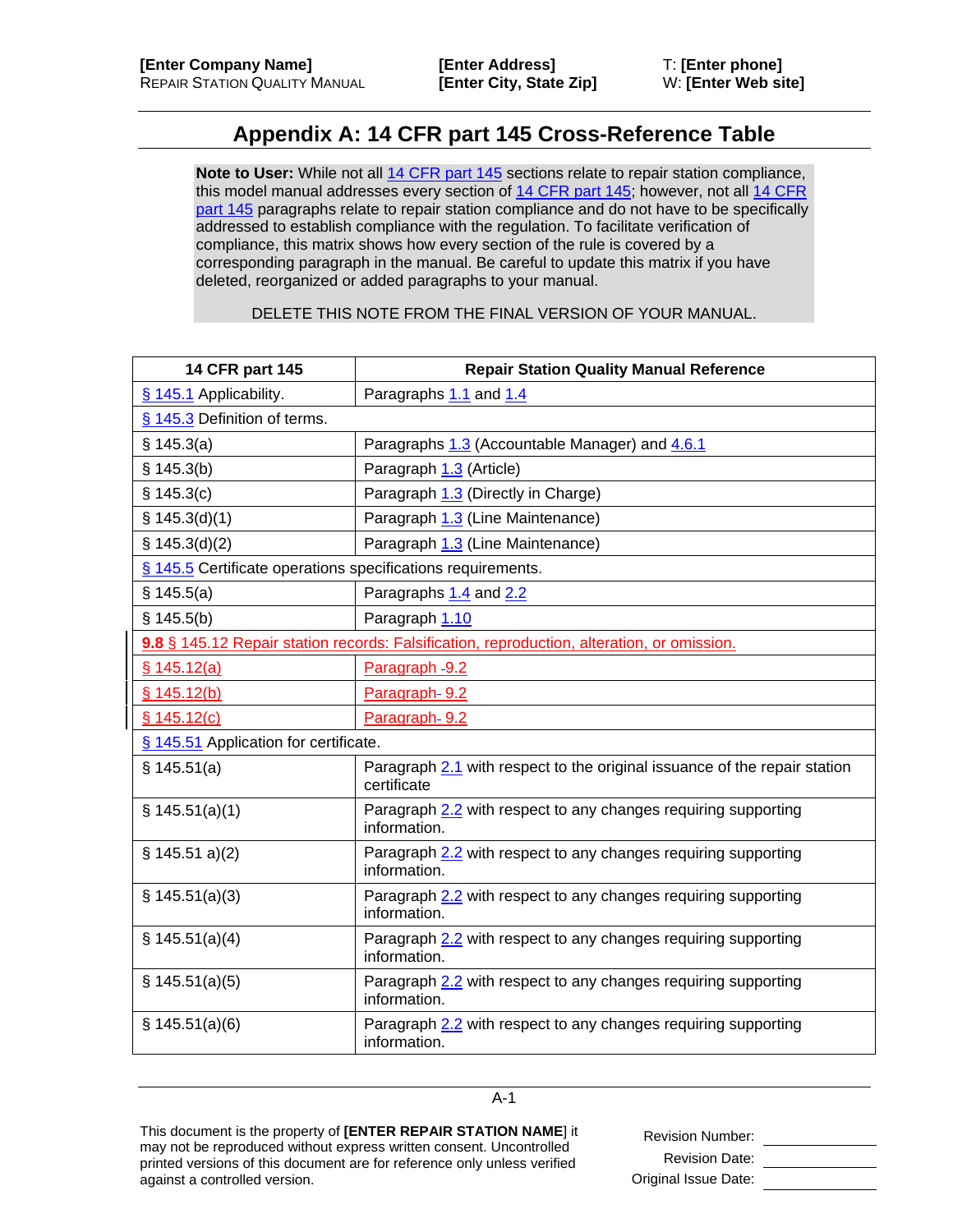## **Appendix A: 14 CFR part 145 Cross-Reference Table**

**Note to User:** While not all [14 CFR part 145](http://ecfr.gpoaccess.gov/cgi/t/text/text-idx?c=ecfr&sid=f32c93ab89449592e2f45d4510a3e2e0&tpl=/ecfrbrowse/Title14/14cfr145_main_02.tpl) sections relate to repair station compliance, this model manual addresses every section of [14 CFR part 145;](http://ecfr.gpoaccess.gov/cgi/t/text/text-idx?c=ecfr&sid=f32c93ab89449592e2f45d4510a3e2e0&tpl=/ecfrbrowse/Title14/14cfr145_main_02.tpl) however, not all [14 CFR](http://ecfr.gpoaccess.gov/cgi/t/text/text-idx?c=ecfr&sid=f32c93ab89449592e2f45d4510a3e2e0&tpl=/ecfrbrowse/Title14/14cfr145_main_02.tpl)  [part 145](http://ecfr.gpoaccess.gov/cgi/t/text/text-idx?c=ecfr&sid=f32c93ab89449592e2f45d4510a3e2e0&tpl=/ecfrbrowse/Title14/14cfr145_main_02.tpl) paragraphs relate to repair station compliance and do not have to be specifically addressed to establish compliance with the regulation. To facilitate verification of compliance, this matrix shows how every section of the rule is covered by a corresponding paragraph in the manual. Be careful to update this matrix if you have deleted, reorganized or added paragraphs to your manual.

DELETE THIS NOTE FROM THE FINAL VERSION OF YOUR MANUAL.

| 14 CFR part 145                                                                            | <b>Repair Station Quality Manual Reference</b>                                           |  |
|--------------------------------------------------------------------------------------------|------------------------------------------------------------------------------------------|--|
| § 145.1 Applicability.                                                                     | Paragraphs 1.1 and 1.4                                                                   |  |
| § 145.3 Definition of terms.                                                               |                                                                                          |  |
| \$145.3(a)                                                                                 | Paragraphs 1.3 (Accountable Manager) and 4.6.1                                           |  |
| \$145.3(b)                                                                                 | Paragraph 1.3 (Article)                                                                  |  |
| § 145.3(c)                                                                                 | Paragraph 1.3 (Directly in Charge)                                                       |  |
| \$145.3(d)(1)                                                                              | Paragraph 1.3 (Line Maintenance)                                                         |  |
| \$145.3(d)(2)                                                                              | Paragraph 1.3 (Line Maintenance)                                                         |  |
| § 145.5 Certificate operations specifications requirements.                                |                                                                                          |  |
| \$145.5(a)                                                                                 | Paragraphs 1.4 and 2.2                                                                   |  |
| § 145.5(b)                                                                                 | Paragraph 1.10                                                                           |  |
| 9.8 § 145.12 Repair station records: Falsification, reproduction, alteration, or omission. |                                                                                          |  |
| \$145.12(a)                                                                                | Paragraph -9.2                                                                           |  |
| § 145.12(b)                                                                                | Paragraph-9.2                                                                            |  |
| \$145.12(c)                                                                                | Paragraph-9.2                                                                            |  |
| § 145.51 Application for certificate.                                                      |                                                                                          |  |
| \$145.51(a)                                                                                | Paragraph 2.1 with respect to the original issuance of the repair station<br>certificate |  |
| \$145.51(a)(1)                                                                             | Paragraph 2.2 with respect to any changes requiring supporting<br>information.           |  |
| \$145.51 a)(2)                                                                             | Paragraph 2.2 with respect to any changes requiring supporting<br>information.           |  |
| § 145.51(a)(3)                                                                             | Paragraph 2.2 with respect to any changes requiring supporting<br>information.           |  |
| \$145.51(a)(4)                                                                             | Paragraph 2.2 with respect to any changes requiring supporting<br>information.           |  |
| \$145.51(a)(5)                                                                             | Paragraph 2.2 with respect to any changes requiring supporting<br>information.           |  |
| \$145.51(a)(6)                                                                             | Paragraph 2.2 with respect to any changes requiring supporting<br>information.           |  |

A-1

This document is the property of **[ENTER REPAIR STATION NAME**] it may not be reproduced without express written consent. Uncontrolled printed versions of this document are for reference only unless verified against a controlled version.

Revision Number: Revision Date: <u>\_\_\_\_\_\_\_\_\_\_\_\_\_\_</u> Original Issue Date: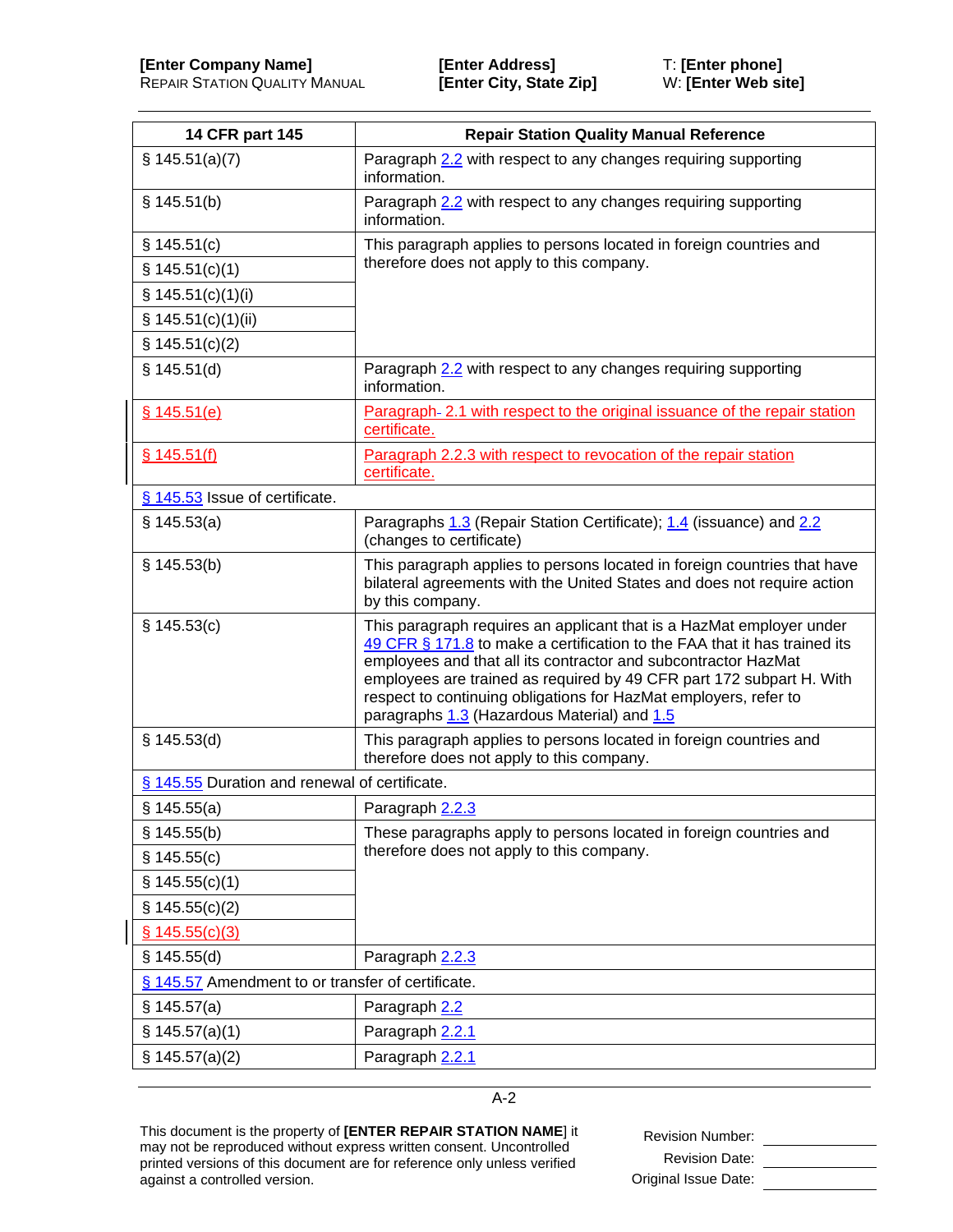| 14 CFR part 145                               | <b>Repair Station Quality Manual Reference</b>                                                                                                                                                                                                                                                                                                                                                                 |  |
|-----------------------------------------------|----------------------------------------------------------------------------------------------------------------------------------------------------------------------------------------------------------------------------------------------------------------------------------------------------------------------------------------------------------------------------------------------------------------|--|
| \$145.51(a)(7)                                | Paragraph 2.2 with respect to any changes requiring supporting<br>information.                                                                                                                                                                                                                                                                                                                                 |  |
| § 145.51(b)                                   | Paragraph 2.2 with respect to any changes requiring supporting<br>information.                                                                                                                                                                                                                                                                                                                                 |  |
| \$145.51(c)                                   | This paragraph applies to persons located in foreign countries and                                                                                                                                                                                                                                                                                                                                             |  |
| \$145.51(c)(1)                                | therefore does not apply to this company.                                                                                                                                                                                                                                                                                                                                                                      |  |
| \$145.51(c)(1)(i)                             |                                                                                                                                                                                                                                                                                                                                                                                                                |  |
| \$145.51(c)(1)(ii)                            |                                                                                                                                                                                                                                                                                                                                                                                                                |  |
| \$145.51(c)(2)                                |                                                                                                                                                                                                                                                                                                                                                                                                                |  |
| \$145.51(d)                                   | Paragraph 2.2 with respect to any changes requiring supporting<br>information.                                                                                                                                                                                                                                                                                                                                 |  |
| \$145.51(e)                                   | Paragraph- 2.1 with respect to the original issuance of the repair station<br>certificate.                                                                                                                                                                                                                                                                                                                     |  |
| \$145.51(f)                                   | Paragraph 2.2.3 with respect to revocation of the repair station<br>certificate.                                                                                                                                                                                                                                                                                                                               |  |
| § 145.53 Issue of certificate.                |                                                                                                                                                                                                                                                                                                                                                                                                                |  |
| § 145.53(a)                                   | Paragraphs 1.3 (Repair Station Certificate); 1.4 (issuance) and 2.2<br>(changes to certificate)                                                                                                                                                                                                                                                                                                                |  |
| § 145.53(b)                                   | This paragraph applies to persons located in foreign countries that have<br>bilateral agreements with the United States and does not require action<br>by this company.                                                                                                                                                                                                                                        |  |
| \$145.53(c)                                   | This paragraph requires an applicant that is a HazMat employer under<br>49 CFR § 171.8 to make a certification to the FAA that it has trained its<br>employees and that all its contractor and subcontractor HazMat<br>employees are trained as required by 49 CFR part 172 subpart H. With<br>respect to continuing obligations for HazMat employers, refer to<br>paragraphs 1.3 (Hazardous Material) and 1.5 |  |
| § 145.53(d)                                   | This paragraph applies to persons located in foreign countries and<br>therefore does not apply to this company.                                                                                                                                                                                                                                                                                                |  |
| § 145.55 Duration and renewal of certificate. |                                                                                                                                                                                                                                                                                                                                                                                                                |  |
| § 145.55(a)                                   | Paragraph 2.2.3                                                                                                                                                                                                                                                                                                                                                                                                |  |
| \$145.55(b)                                   | These paragraphs apply to persons located in foreign countries and                                                                                                                                                                                                                                                                                                                                             |  |
| \$145.55(c)                                   | therefore does not apply to this company.                                                                                                                                                                                                                                                                                                                                                                      |  |
| \$145.55(c)(1)                                |                                                                                                                                                                                                                                                                                                                                                                                                                |  |
| \$145.55(c)(2)                                |                                                                                                                                                                                                                                                                                                                                                                                                                |  |
| \$145.55(c)(3)                                |                                                                                                                                                                                                                                                                                                                                                                                                                |  |
| \$145.55(d)                                   | Paragraph 2.2.3                                                                                                                                                                                                                                                                                                                                                                                                |  |
|                                               | § 145.57 Amendment to or transfer of certificate.                                                                                                                                                                                                                                                                                                                                                              |  |
| § 145.57(a)                                   | Paragraph 2.2                                                                                                                                                                                                                                                                                                                                                                                                  |  |
| $\S$ 145.57(a)(1)                             | Paragraph 2.2.1                                                                                                                                                                                                                                                                                                                                                                                                |  |
| $\S$ 145.57(a)(2)                             | Paragraph 2.2.1                                                                                                                                                                                                                                                                                                                                                                                                |  |

This document is the property of **[ENTER REPAIR STATION NAME**] it may not be reproduced without express written consent. Uncontrolled printed versions of this document are for reference only unless verified against a controlled version.

Revision Number: \_\_\_\_\_\_\_\_\_\_\_\_\_\_\_\_ Revision Date: Original Issue Date: \_\_\_\_\_\_\_\_\_\_\_\_\_\_\_\_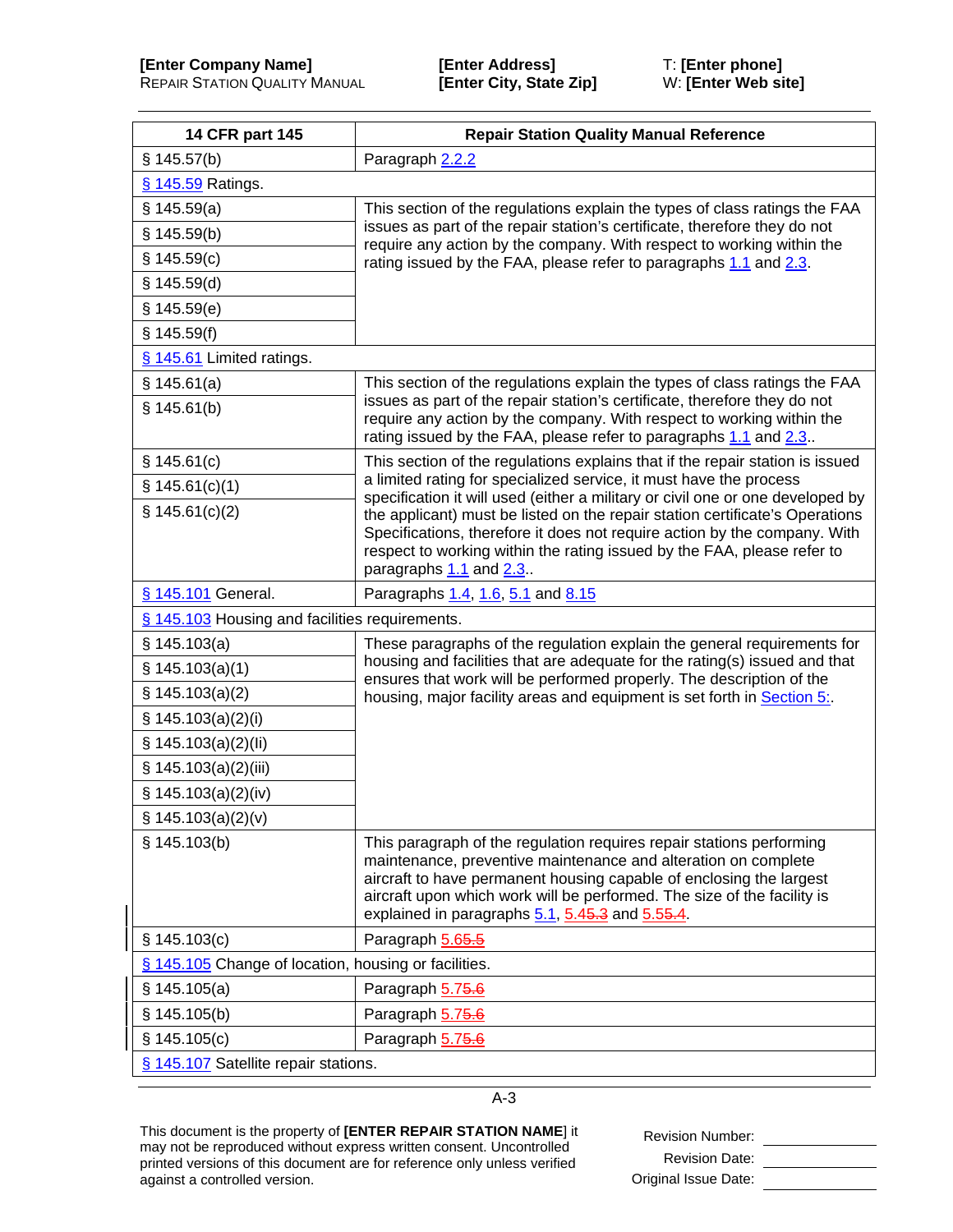| 14 CFR part 145                                      | <b>Repair Station Quality Manual Reference</b>                                                                                                                                                                                                                                                                                              |  |
|------------------------------------------------------|---------------------------------------------------------------------------------------------------------------------------------------------------------------------------------------------------------------------------------------------------------------------------------------------------------------------------------------------|--|
| \$145.57(b)                                          | Paragraph 2.2.2                                                                                                                                                                                                                                                                                                                             |  |
| § 145.59 Ratings.                                    |                                                                                                                                                                                                                                                                                                                                             |  |
| \$145.59(a)                                          | This section of the regulations explain the types of class ratings the FAA                                                                                                                                                                                                                                                                  |  |
| \$145.59(b)                                          | issues as part of the repair station's certificate, therefore they do not                                                                                                                                                                                                                                                                   |  |
| \$145.59(c)                                          | require any action by the company. With respect to working within the<br>rating issued by the FAA, please refer to paragraphs 1.1 and 2.3.                                                                                                                                                                                                  |  |
| \$145.59(d)                                          |                                                                                                                                                                                                                                                                                                                                             |  |
| \$145.59(e)                                          |                                                                                                                                                                                                                                                                                                                                             |  |
| $§$ 145.59(f)                                        |                                                                                                                                                                                                                                                                                                                                             |  |
| § 145.61 Limited ratings.                            |                                                                                                                                                                                                                                                                                                                                             |  |
| \$145.61(a)                                          | This section of the regulations explain the types of class ratings the FAA                                                                                                                                                                                                                                                                  |  |
| \$145.61(b)                                          | issues as part of the repair station's certificate, therefore they do not<br>require any action by the company. With respect to working within the<br>rating issued by the FAA, please refer to paragraphs 1.1 and 2.3.                                                                                                                     |  |
| \$145.61(c)                                          | This section of the regulations explains that if the repair station is issued                                                                                                                                                                                                                                                               |  |
| \$145.61(c)(1)                                       | a limited rating for specialized service, it must have the process<br>specification it will used (either a military or civil one or one developed by                                                                                                                                                                                        |  |
| \$145.61(c)(2)                                       | the applicant) must be listed on the repair station certificate's Operations<br>Specifications, therefore it does not require action by the company. With<br>respect to working within the rating issued by the FAA, please refer to<br>paragraphs 1.1 and 2.3.                                                                             |  |
| § 145.101 General.                                   | Paragraphs 1.4, 1.6, 5.1 and 8.15                                                                                                                                                                                                                                                                                                           |  |
| § 145.103 Housing and facilities requirements.       |                                                                                                                                                                                                                                                                                                                                             |  |
| § 145.103(a)                                         | These paragraphs of the regulation explain the general requirements for                                                                                                                                                                                                                                                                     |  |
| \$145.103(a)(1)                                      | housing and facilities that are adequate for the rating(s) issued and that<br>ensures that work will be performed properly. The description of the                                                                                                                                                                                          |  |
| \$145.103(a)(2)                                      | housing, major facility areas and equipment is set forth in Section 5:                                                                                                                                                                                                                                                                      |  |
| \$ 145.103(a)(2)(i)                                  |                                                                                                                                                                                                                                                                                                                                             |  |
| § 145.103(a)(2)(li)                                  |                                                                                                                                                                                                                                                                                                                                             |  |
| § 145.103(a)(2)(iii)                                 |                                                                                                                                                                                                                                                                                                                                             |  |
| \$ 145.103(a)(2)(iv)                                 |                                                                                                                                                                                                                                                                                                                                             |  |
| \$ 145.103(a)(2)(v)                                  |                                                                                                                                                                                                                                                                                                                                             |  |
| § 145.103(b)                                         | This paragraph of the regulation requires repair stations performing<br>maintenance, preventive maintenance and alteration on complete<br>aircraft to have permanent housing capable of enclosing the largest<br>aircraft upon which work will be performed. The size of the facility is<br>explained in paragraphs 5.1, 5.45.3 and 5.55.4. |  |
| \$145.103(c)                                         | Paragraph 5.65.5                                                                                                                                                                                                                                                                                                                            |  |
| § 145.105 Change of location, housing or facilities. |                                                                                                                                                                                                                                                                                                                                             |  |
| § 145.105(a)                                         | Paragraph 5.75.6                                                                                                                                                                                                                                                                                                                            |  |
| \$145.105(b)                                         | Paragraph 5.75.6                                                                                                                                                                                                                                                                                                                            |  |
| \$145.105(c)                                         | Paragraph 5.75.6                                                                                                                                                                                                                                                                                                                            |  |
| § 145.107 Satellite repair stations.                 |                                                                                                                                                                                                                                                                                                                                             |  |

This document is the property of **[ENTER REPAIR STATION NAME**] it may not be reproduced without express written consent. Uncontrolled printed versions of this document are for reference only unless verified against a controlled version.

Revision Number: \_\_\_\_\_\_\_\_\_\_\_\_\_\_\_\_ Revision Date: \_\_\_\_\_\_\_\_\_\_\_\_\_\_\_\_ Original Issue Date: \_\_\_\_\_\_\_\_\_\_\_\_\_\_\_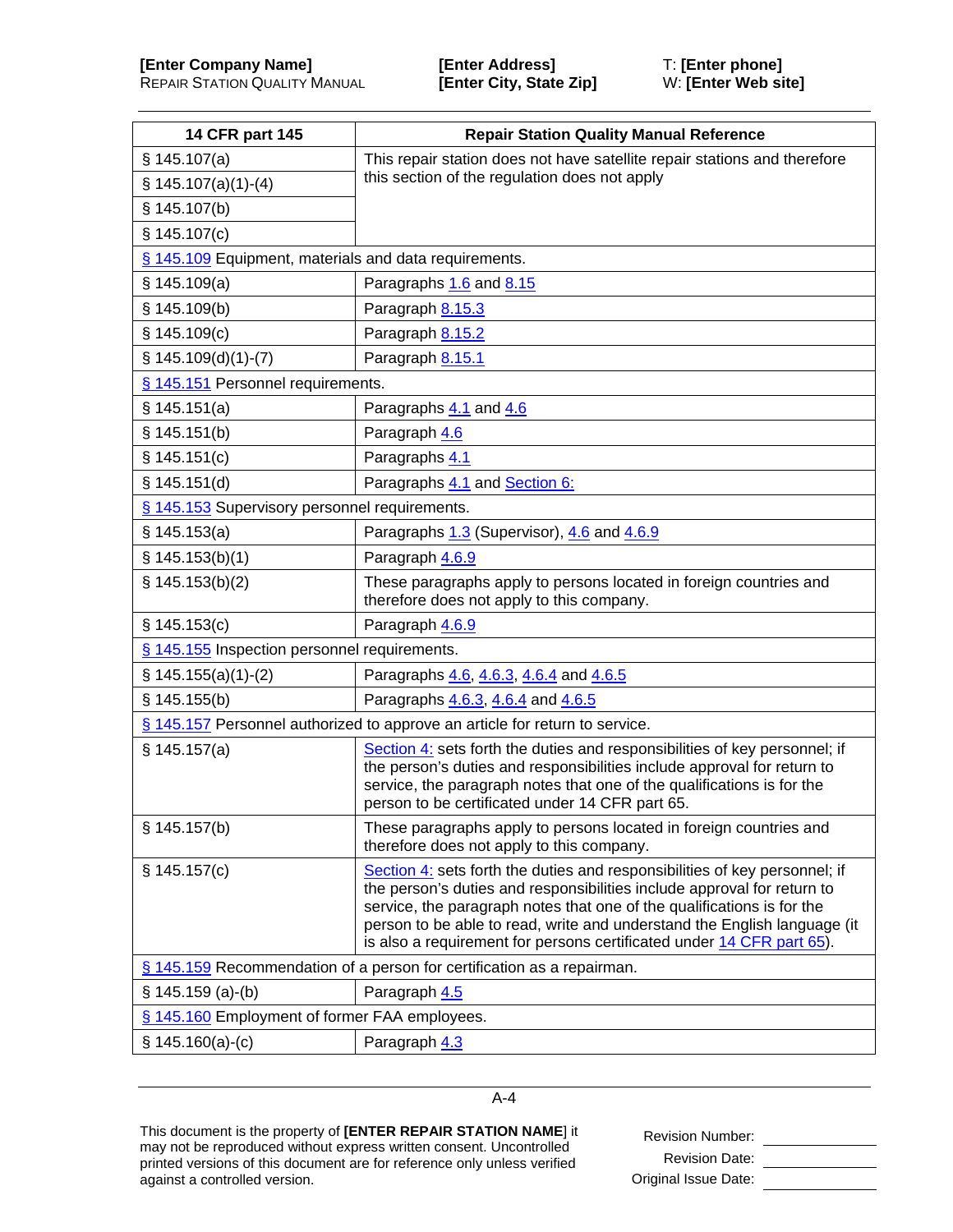| 14 CFR part 145                                       | <b>Repair Station Quality Manual Reference</b>                                                                                                                                                                                                                                                                                                                                       |
|-------------------------------------------------------|--------------------------------------------------------------------------------------------------------------------------------------------------------------------------------------------------------------------------------------------------------------------------------------------------------------------------------------------------------------------------------------|
| § 145.107(a)                                          | This repair station does not have satellite repair stations and therefore                                                                                                                                                                                                                                                                                                            |
| $$145.107(a)(1)-(4)$                                  | this section of the regulation does not apply                                                                                                                                                                                                                                                                                                                                        |
| \$145.107(b)                                          |                                                                                                                                                                                                                                                                                                                                                                                      |
| § 145.107(c)                                          |                                                                                                                                                                                                                                                                                                                                                                                      |
| § 145.109 Equipment, materials and data requirements. |                                                                                                                                                                                                                                                                                                                                                                                      |
| § 145.109(a)                                          | Paragraphs 1.6 and 8.15                                                                                                                                                                                                                                                                                                                                                              |
| § 145.109(b)                                          | Paragraph 8.15.3                                                                                                                                                                                                                                                                                                                                                                     |
| \$145.109(c)                                          | Paragraph 8.15.2                                                                                                                                                                                                                                                                                                                                                                     |
| $$145.109(d)(1)-(7)$                                  | Paragraph 8.15.1                                                                                                                                                                                                                                                                                                                                                                     |
| § 145.151 Personnel requirements.                     |                                                                                                                                                                                                                                                                                                                                                                                      |
| § 145.151(a)                                          | Paragraphs 4.1 and 4.6                                                                                                                                                                                                                                                                                                                                                               |
| § 145.151(b)                                          | Paragraph 4.6                                                                                                                                                                                                                                                                                                                                                                        |
| § 145.151(c)                                          | Paragraphs 4.1                                                                                                                                                                                                                                                                                                                                                                       |
| \$145.151(d)                                          | Paragraphs 4.1 and Section 6:                                                                                                                                                                                                                                                                                                                                                        |
| § 145.153 Supervisory personnel requirements.         |                                                                                                                                                                                                                                                                                                                                                                                      |
| § 145.153(a)                                          | Paragraphs 1.3 (Supervisor), 4.6 and 4.6.9                                                                                                                                                                                                                                                                                                                                           |
| \$145.153(b)(1)                                       | Paragraph 4.6.9                                                                                                                                                                                                                                                                                                                                                                      |
| \$145.153(b)(2)                                       | These paragraphs apply to persons located in foreign countries and<br>therefore does not apply to this company.                                                                                                                                                                                                                                                                      |
| § 145.153(c)                                          | Paragraph 4.6.9                                                                                                                                                                                                                                                                                                                                                                      |
| § 145.155 Inspection personnel requirements.          |                                                                                                                                                                                                                                                                                                                                                                                      |
| $\S$ 145.155(a)(1)-(2)                                | Paragraphs 4.6, 4.6.3, 4.6.4 and 4.6.5                                                                                                                                                                                                                                                                                                                                               |
| \$145.155(b)                                          | Paragraphs 4.6.3, 4.6.4 and 4.6.5                                                                                                                                                                                                                                                                                                                                                    |
|                                                       | § 145.157 Personnel authorized to approve an article for return to service.                                                                                                                                                                                                                                                                                                          |
| § 145.157(a)                                          | Section 4: sets forth the duties and responsibilities of key personnel; if<br>the person's duties and responsibilities include approval for return to<br>service, the paragraph notes that one of the qualifications is for the<br>person to be certificated under 14 CFR part 65.                                                                                                   |
| § 145.157(b)                                          | These paragraphs apply to persons located in foreign countries and<br>therefore does not apply to this company.                                                                                                                                                                                                                                                                      |
| § 145.157(c)                                          | Section 4: sets forth the duties and responsibilities of key personnel; if<br>the person's duties and responsibilities include approval for return to<br>service, the paragraph notes that one of the qualifications is for the<br>person to be able to read, write and understand the English language (it<br>is also a requirement for persons certificated under 14 CFR part 65). |
|                                                       | § 145.159 Recommendation of a person for certification as a repairman.                                                                                                                                                                                                                                                                                                               |
| $§ 145.159 (a)-(b)$                                   | Paragraph 4.5                                                                                                                                                                                                                                                                                                                                                                        |
| § 145.160 Employment of former FAA employees.         |                                                                                                                                                                                                                                                                                                                                                                                      |
| $$145.160(a)-(c)$                                     | Paragraph 4.3                                                                                                                                                                                                                                                                                                                                                                        |

This document is the property of **[ENTER REPAIR STATION NAME**] it may not be reproduced without express written consent. Uncontrolled printed versions of this document are for reference only unless verified against a controlled version.

Revision Number: \_\_\_\_\_\_\_\_\_\_\_\_\_\_\_\_ Revision Date: Original Issue Date: \_\_\_\_\_\_\_\_\_\_\_\_\_\_\_\_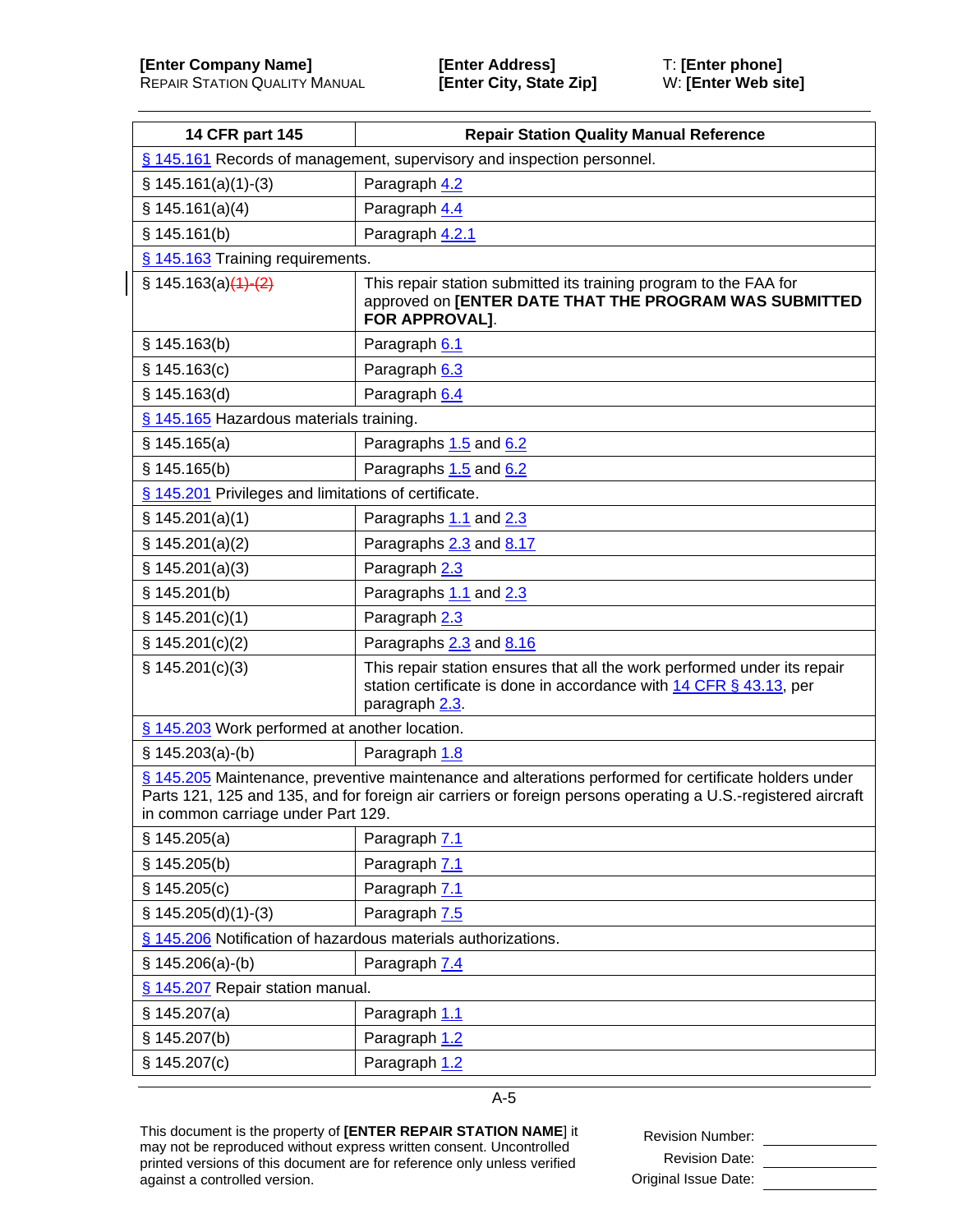| 14 CFR part 145                                                                                                                                                                                                                                             | <b>Repair Station Quality Manual Reference</b>                                                                                                                   |  |
|-------------------------------------------------------------------------------------------------------------------------------------------------------------------------------------------------------------------------------------------------------------|------------------------------------------------------------------------------------------------------------------------------------------------------------------|--|
| § 145.161 Records of management, supervisory and inspection personnel.                                                                                                                                                                                      |                                                                                                                                                                  |  |
| $$145.161(a)(1)-(3)$                                                                                                                                                                                                                                        | Paragraph 4.2                                                                                                                                                    |  |
| \$145.161(a)(4)                                                                                                                                                                                                                                             | Paragraph 4.4                                                                                                                                                    |  |
| \$145.161(b)                                                                                                                                                                                                                                                | Paragraph 4.2.1                                                                                                                                                  |  |
| § 145.163 Training requirements.                                                                                                                                                                                                                            |                                                                                                                                                                  |  |
| $\{ 145.163(a)(4)-(2) \}$                                                                                                                                                                                                                                   | This repair station submitted its training program to the FAA for<br>approved on [ENTER DATE THAT THE PROGRAM WAS SUBMITTED<br>FOR APPROVAL].                    |  |
| \$145.163(b)                                                                                                                                                                                                                                                | Paragraph 6.1                                                                                                                                                    |  |
| \$145.163(c)                                                                                                                                                                                                                                                | Paragraph 6.3                                                                                                                                                    |  |
| § 145.163(d)                                                                                                                                                                                                                                                | Paragraph 6.4                                                                                                                                                    |  |
| § 145.165 Hazardous materials training.                                                                                                                                                                                                                     |                                                                                                                                                                  |  |
| § 145.165(a)                                                                                                                                                                                                                                                | Paragraphs 1.5 and 6.2                                                                                                                                           |  |
| § 145.165(b)                                                                                                                                                                                                                                                | Paragraphs 1.5 and 6.2                                                                                                                                           |  |
| § 145.201 Privileges and limitations of certificate.                                                                                                                                                                                                        |                                                                                                                                                                  |  |
| \$145.201(a)(1)                                                                                                                                                                                                                                             | Paragraphs 1.1 and 2.3                                                                                                                                           |  |
| \$145.201(a)(2)                                                                                                                                                                                                                                             | Paragraphs 2.3 and 8.17                                                                                                                                          |  |
| § 145.201(a)(3)                                                                                                                                                                                                                                             | Paragraph 2.3                                                                                                                                                    |  |
| \$145.201(b)                                                                                                                                                                                                                                                | Paragraphs 1.1 and 2.3                                                                                                                                           |  |
| \$145.201(c)(1)                                                                                                                                                                                                                                             | Paragraph 2.3                                                                                                                                                    |  |
| \$145.201(c)(2)                                                                                                                                                                                                                                             | Paragraphs 2.3 and 8.16                                                                                                                                          |  |
| \$145.201(c)(3)                                                                                                                                                                                                                                             | This repair station ensures that all the work performed under its repair<br>station certificate is done in accordance with 14 CFR § 43.13, per<br>paragraph 2.3. |  |
| § 145.203 Work performed at another location.                                                                                                                                                                                                               |                                                                                                                                                                  |  |
| $$145.203(a)-(b)$                                                                                                                                                                                                                                           | Paragraph 1.8                                                                                                                                                    |  |
| § 145.205 Maintenance, preventive maintenance and alterations performed for certificate holders under<br>Parts 121, 125 and 135, and for foreign air carriers or foreign persons operating a U.S.-registered aircraft<br>in common carriage under Part 129. |                                                                                                                                                                  |  |
| \$145.205(a)                                                                                                                                                                                                                                                | Paragraph 7.1                                                                                                                                                    |  |
| \$145.205(b)                                                                                                                                                                                                                                                | Paragraph 7.1                                                                                                                                                    |  |
| \$145.205(c)                                                                                                                                                                                                                                                | Paragraph 7.1                                                                                                                                                    |  |
| $$145.205(d)(1)-(3)$                                                                                                                                                                                                                                        | Paragraph 7.5                                                                                                                                                    |  |
| § 145.206 Notification of hazardous materials authorizations.                                                                                                                                                                                               |                                                                                                                                                                  |  |
| $§ 145.206(a)-(b)$                                                                                                                                                                                                                                          | Paragraph 7.4                                                                                                                                                    |  |
| § 145.207 Repair station manual.                                                                                                                                                                                                                            |                                                                                                                                                                  |  |
| § 145.207(a)                                                                                                                                                                                                                                                | Paragraph 1.1                                                                                                                                                    |  |
| § 145.207(b)                                                                                                                                                                                                                                                | Paragraph 1.2                                                                                                                                                    |  |
| \$145.207(c)                                                                                                                                                                                                                                                | Paragraph 1.2                                                                                                                                                    |  |

This document is the property of **[ENTER REPAIR STATION NAME**] it may not be reproduced without express written consent. Uncontrolled printed versions of this document are for reference only unless verified against a controlled version.

Revision Number: \_\_\_\_\_\_\_\_\_\_\_\_\_\_\_\_ Revision Date: \_\_\_\_\_\_\_\_\_\_\_\_\_\_\_\_ Original Issue Date: \_\_\_\_\_\_\_\_\_\_\_\_\_\_\_\_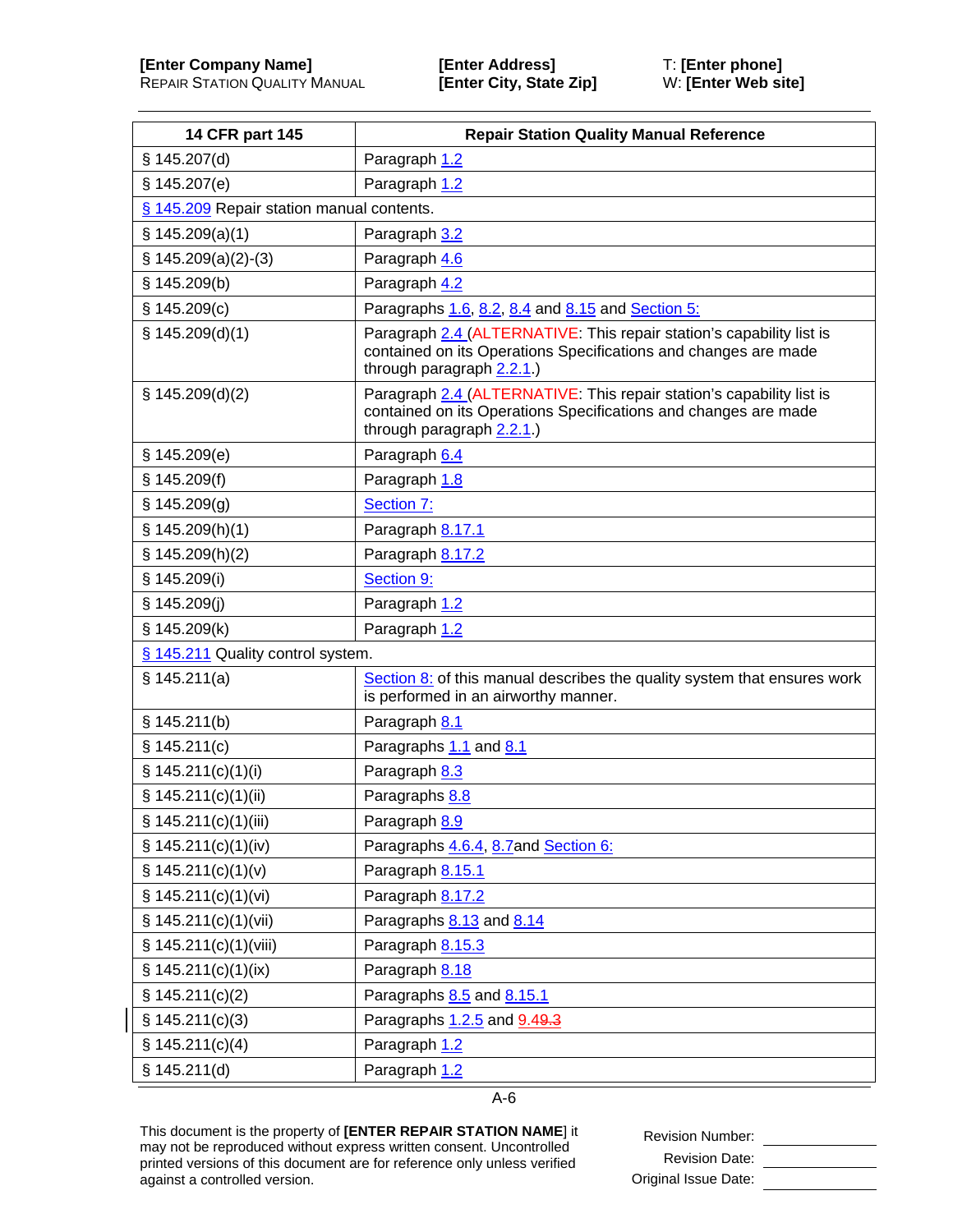| 14 CFR part 145                           | <b>Repair Station Quality Manual Reference</b>                                                                                                                       |
|-------------------------------------------|----------------------------------------------------------------------------------------------------------------------------------------------------------------------|
| § 145.207(d)                              | Paragraph 1.2                                                                                                                                                        |
| \$145.207(e)                              | Paragraph 1.2                                                                                                                                                        |
| § 145.209 Repair station manual contents. |                                                                                                                                                                      |
| \$145.209(a)(1)                           | Paragraph 3.2                                                                                                                                                        |
| $$145.209(a)(2)-(3)$                      | Paragraph 4.6                                                                                                                                                        |
| \$145.209(b)                              | Paragraph 4.2                                                                                                                                                        |
| \$145.209(c)                              | Paragraphs 1.6, 8.2, 8.4 and 8.15 and Section 5:                                                                                                                     |
| \$145.209(d)(1)                           | Paragraph 2.4 (ALTERNATIVE: This repair station's capability list is<br>contained on its Operations Specifications and changes are made<br>through paragraph 2.2.1.) |
| \$145.209(d)(2)                           | Paragraph 2.4 (ALTERNATIVE: This repair station's capability list is<br>contained on its Operations Specifications and changes are made<br>through paragraph 2.2.1.) |
| \$145.209(e)                              | Paragraph 6.4                                                                                                                                                        |
| \$145.209(f)                              | Paragraph 1.8                                                                                                                                                        |
| § 145.209(g)                              | Section 7:                                                                                                                                                           |
| \$145.209(h)(1)                           | Paragraph 8.17.1                                                                                                                                                     |
| \$145.209(h)(2)                           | Paragraph 8.17.2                                                                                                                                                     |
| § 145.209(i)                              | Section 9:                                                                                                                                                           |
| § 145.209(j)                              | Paragraph 1.2                                                                                                                                                        |
| § 145.209(k)                              | Paragraph 1.2                                                                                                                                                        |
| § 145.211 Quality control system.         |                                                                                                                                                                      |
| § 145.211(a)                              | Section 8: of this manual describes the quality system that ensures work<br>is performed in an airworthy manner.                                                     |
| \$145.211(b)                              | Paragraph 8.1                                                                                                                                                        |
| \$145.211(c)                              | Paragraphs 1.1 and 8.1                                                                                                                                               |
| § 145.211(c)(1)(i)                        | Paragraph 8.3                                                                                                                                                        |
| § 145.211(c)(1)(ii)                       | Paragraphs 8.8                                                                                                                                                       |
| § 145.211(c)(1)(iii)                      | Paragraph 8.9                                                                                                                                                        |
| \$145.211(c)(1)(iv)                       | Paragraphs 4.6.4, 8.7 and Section 6:                                                                                                                                 |
| \$145.211(c)(1)(v)                        | Paragraph 8.15.1                                                                                                                                                     |
| § 145.211(c)(1)(vi)                       | Paragraph 8.17.2                                                                                                                                                     |
| \$145.211(c)(1)(vii)                      | Paragraphs 8.13 and 8.14                                                                                                                                             |
| § 145.211(c)(1)(viii)                     | Paragraph 8.15.3                                                                                                                                                     |
| \$145.211(c)(1)(ix)                       | Paragraph 8.18                                                                                                                                                       |
| $\S$ 145.211(c)(2)                        | Paragraphs 8.5 and 8.15.1                                                                                                                                            |
| \$145.211(c)(3)                           | Paragraphs 1.2.5 and 9.49.3                                                                                                                                          |
| \$145.211(c)(4)                           | Paragraph 1.2                                                                                                                                                        |
| \$145.211(d)                              | Paragraph 1.2                                                                                                                                                        |

This document is the property of **[ENTER REPAIR STATION NAME**] it may not be reproduced without express written consent. Uncontrolled printed versions of this document are for reference only unless verified against a controlled version.

Revision Number: \_\_\_\_\_\_\_\_\_\_\_\_\_\_\_\_ Revision Date: Original Issue Date: \_\_\_\_\_\_\_\_\_\_\_\_\_\_\_\_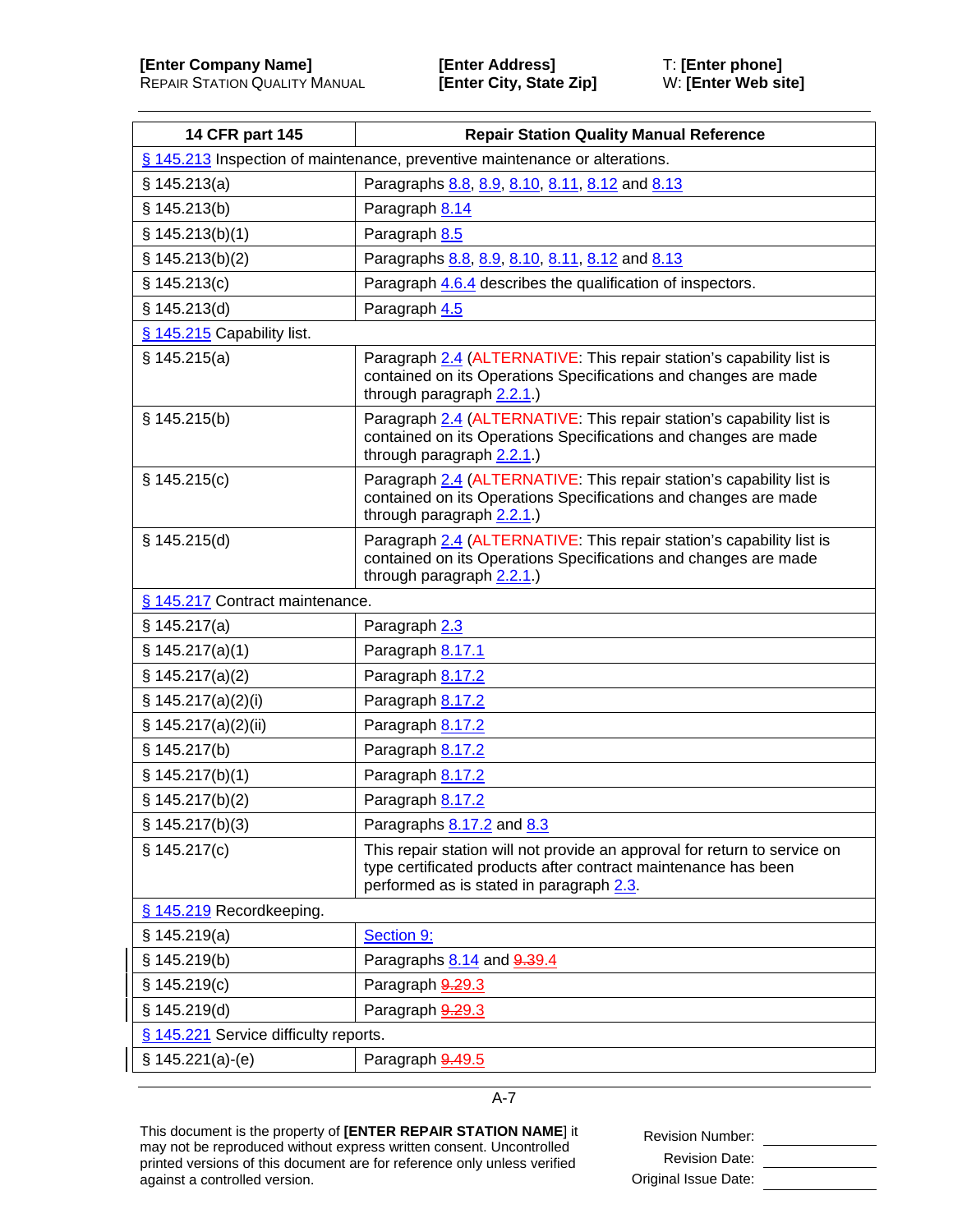| 14 CFR part 145                                                             | <b>Repair Station Quality Manual Reference</b>                                                                                                                                          |
|-----------------------------------------------------------------------------|-----------------------------------------------------------------------------------------------------------------------------------------------------------------------------------------|
| § 145.213 Inspection of maintenance, preventive maintenance or alterations. |                                                                                                                                                                                         |
| § 145.213(a)                                                                | Paragraphs 8.8, 8.9, 8.10, 8.11, 8.12 and 8.13                                                                                                                                          |
| § 145.213(b)                                                                | Paragraph 8.14                                                                                                                                                                          |
| § 145.213(b)(1)                                                             | Paragraph 8.5                                                                                                                                                                           |
| \$145.213(b)(2)                                                             | Paragraphs 8.8, 8.9, 8.10, 8.11, 8.12 and 8.13                                                                                                                                          |
| \$145.213(c)                                                                | Paragraph 4.6.4 describes the qualification of inspectors.                                                                                                                              |
| \$145.213(d)                                                                | Paragraph 4.5                                                                                                                                                                           |
| § 145.215 Capability list.                                                  |                                                                                                                                                                                         |
| § 145.215(a)                                                                | Paragraph 2.4 (ALTERNATIVE: This repair station's capability list is<br>contained on its Operations Specifications and changes are made<br>through paragraph 2.2.1.)                    |
| § 145.215(b)                                                                | Paragraph 2.4 (ALTERNATIVE: This repair station's capability list is<br>contained on its Operations Specifications and changes are made<br>through paragraph 2.2.1.)                    |
| § 145.215(c)                                                                | Paragraph 2.4 (ALTERNATIVE: This repair station's capability list is<br>contained on its Operations Specifications and changes are made<br>through paragraph 2.2.1.)                    |
| § 145.215(d)                                                                | Paragraph 2.4 (ALTERNATIVE: This repair station's capability list is<br>contained on its Operations Specifications and changes are made<br>through paragraph 2.2.1.)                    |
| § 145.217 Contract maintenance.                                             |                                                                                                                                                                                         |
| \$145.217(a)                                                                | Paragraph 2.3                                                                                                                                                                           |
| \$145.217(a)(1)                                                             | Paragraph 8.17.1                                                                                                                                                                        |
| \$145.217(a)(2)                                                             | Paragraph 8.17.2                                                                                                                                                                        |
| § 145.217(a)(2)(i)                                                          | Paragraph 8.17.2                                                                                                                                                                        |
| \$ 145.217(a)(2)(ii)                                                        | Paragraph 8.17.2                                                                                                                                                                        |
| § 145.217(b)                                                                | Paragraph 8.17.2                                                                                                                                                                        |
| \$145.217(b)(1)                                                             | Paragraph 8.17.2                                                                                                                                                                        |
| \$145.217(b)(2)                                                             | Paragraph 8.17.2                                                                                                                                                                        |
| \$145.217(b)(3)                                                             | Paragraphs 8.17.2 and 8.3                                                                                                                                                               |
| \$145.217(c)                                                                | This repair station will not provide an approval for return to service on<br>type certificated products after contract maintenance has been<br>performed as is stated in paragraph 2.3. |
| § 145.219 Recordkeeping.                                                    |                                                                                                                                                                                         |
| \$145.219(a)                                                                | Section 9:                                                                                                                                                                              |
| \$145.219(b)                                                                | Paragraphs 8.14 and 9.39.4                                                                                                                                                              |
| \$145.219(c)                                                                | Paragraph 9.29.3                                                                                                                                                                        |
| § 145.219(d)                                                                | Paragraph 9.29.3                                                                                                                                                                        |
| § 145.221 Service difficulty reports.                                       |                                                                                                                                                                                         |
| $§ 145.221(a)-(e)$                                                          | Paragraph 9.49.5                                                                                                                                                                        |

This document is the property of **[ENTER REPAIR STATION NAME**] it may not be reproduced without express written consent. Uncontrolled printed versions of this document are for reference only unless verified against a controlled version.

Revision Number: \_\_\_\_\_\_\_\_\_\_\_\_\_\_\_\_ Revision Date: Original Issue Date: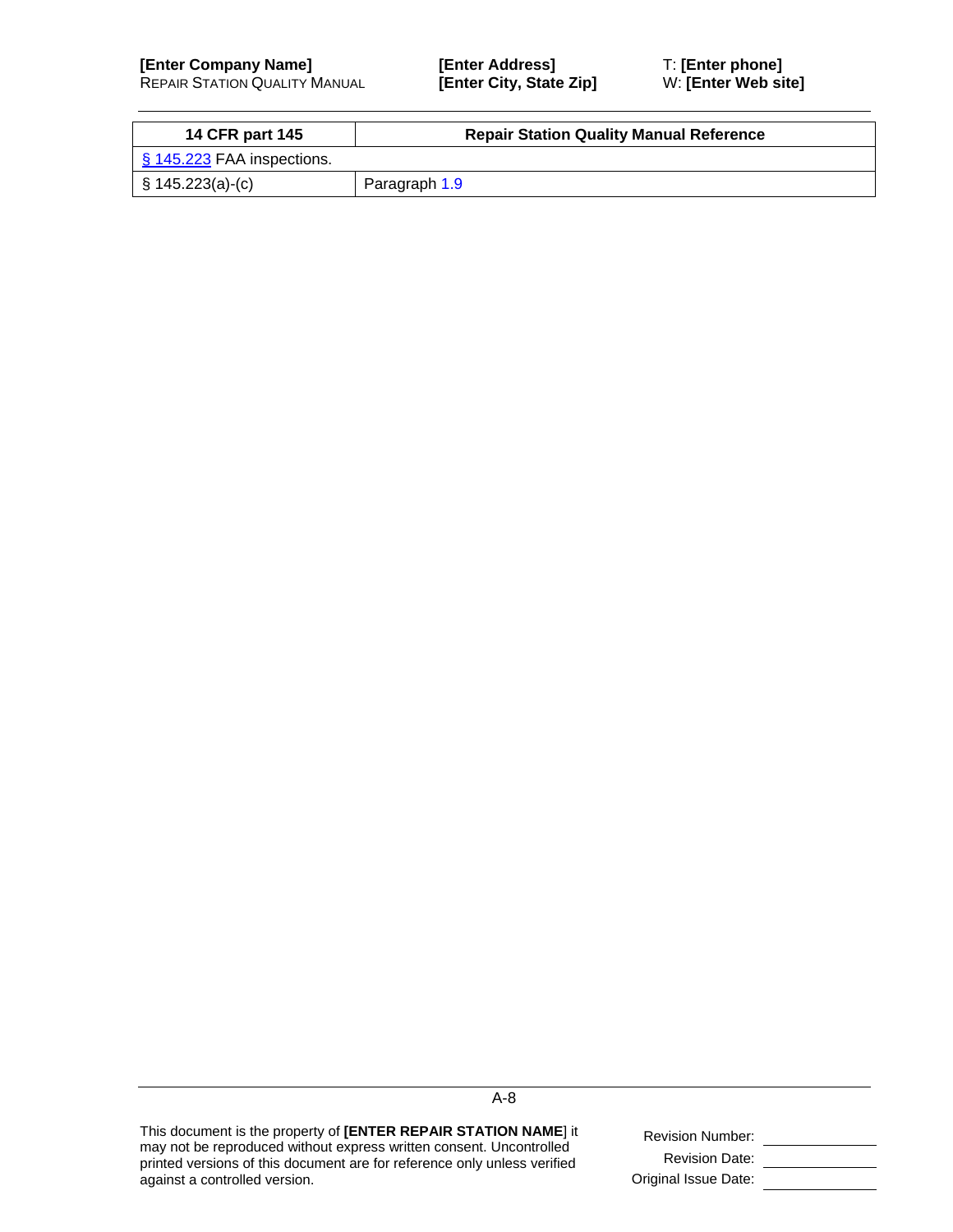| <b>14 CFR part 145</b>                    | <b>Repair Station Quality Manual Reference</b> |
|-------------------------------------------|------------------------------------------------|
| $\frac{1}{2}$ \$ 145.223 FAA inspections. |                                                |
| $\vert$ § 145.223(a)-(c)                  | Paragraph 1.9                                  |

This document is the property of **[ENTER REPAIR STATION NAME**] it may not be reproduced without express written consent. Uncontrolled printed versions of this document are for reference only unless verified against a controlled version.

| <b>Revision Number:</b> |  |
|-------------------------|--|
| <b>Revision Date:</b>   |  |
| Original Issue Date:    |  |